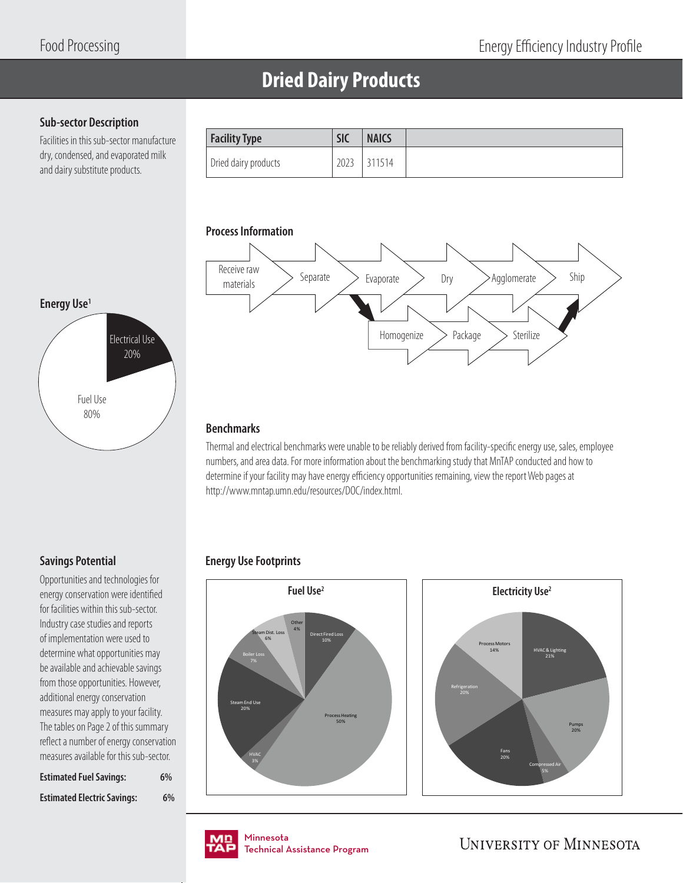## **Dried Dairy Products**

### **Sub-sector Description**

Facilities in this sub-sector manufacture dry, condensed, and evaporated milk and dairy substitute products.

| Facility Type        | <b>NAICS</b><br><b>SIC</b> |
|----------------------|----------------------------|
| Dried dairy products | 2023<br>311514             |



### **Benchmarks**

Thermal and electrical benchmarks were unable to be reliably derived from facility-specific energy use, sales, employee numbers, and area data. For more information about the benchmarking study that MnTAP conducted and how to determine if your facility may have energy efficiency opportunities remaining, view the report Web pages at http://www.mntap.umn.edu/resources/DOC/index.html.

### **Energy Use Footprints**





Minnesota Minnesota Technical Assistance Program Technical Assistance Program

**UNIVERSITY OF MINNESOTA** 

# **Energy Use1** Fuel Use 80% Electrical Use 20%

### **Savings Potential**

Opportunities and technologies for energy conservation were identified for facilities within this sub-sector. Industry case studies and reports of implementation were used to determine what opportunities may be available and achievable savings from those opportunities. However, additional energy conservation measures may apply to your facility. The tables on Page 2 of this summary reflect a number of energy conservation measures available for this sub-sector.

| <b>Estimated Fuel Savings:</b>     | 6% |
|------------------------------------|----|
| <b>Estimated Electric Savings:</b> | 6% |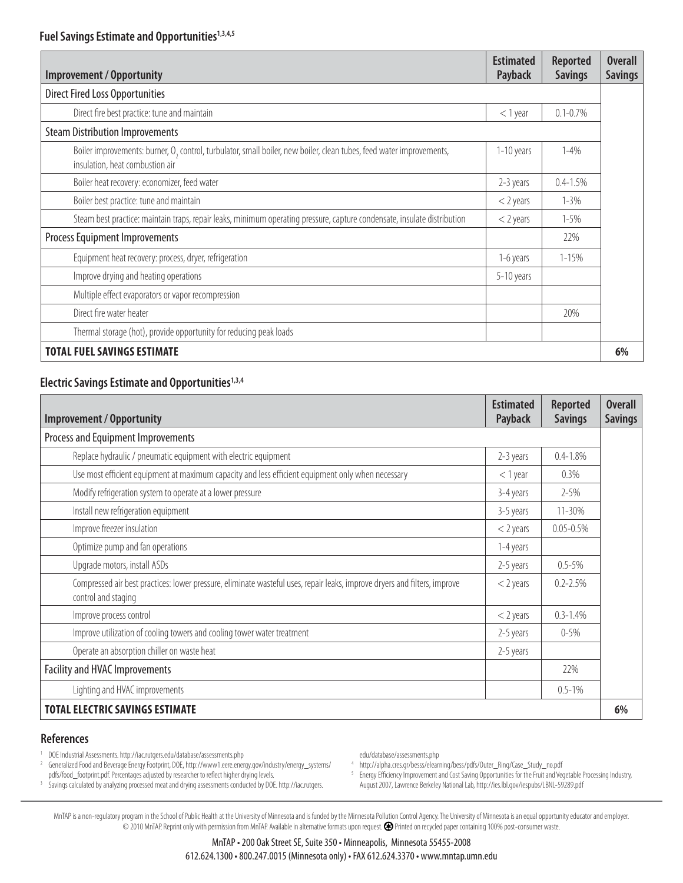| <b>Improvement / Opportunity</b>                                                                                                                                    | <b>Estimated</b><br>Payback | <b>Reported</b><br><b>Savings</b> | <b>Overall</b><br><b>Savings</b> |
|---------------------------------------------------------------------------------------------------------------------------------------------------------------------|-----------------------------|-----------------------------------|----------------------------------|
| <b>Direct Fired Loss Opportunities</b>                                                                                                                              |                             |                                   |                                  |
| Direct fire best practice: tune and maintain                                                                                                                        | $<$ 1 year                  | $0.1 - 0.7\%$                     |                                  |
| <b>Steam Distribution Improvements</b>                                                                                                                              |                             |                                   |                                  |
| Boiler improvements: burner, O <sub>2</sub> control, turbulator, small boiler, new boiler, clean tubes, feed water improvements,<br>insulation, heat combustion air | 1-10 years                  | $1 - 4%$                          |                                  |
| Boiler heat recovery: economizer, feed water                                                                                                                        | 2-3 years                   | $0.4 - 1.5%$                      |                                  |
| Boiler best practice: tune and maintain                                                                                                                             | $<$ 2 years                 | $1 - 3\%$                         |                                  |
| Steam best practice: maintain traps, repair leaks, minimum operating pressure, capture condensate, insulate distribution                                            | $<$ 2 years                 | $1 - 5%$                          |                                  |
| Process Equipment Improvements                                                                                                                                      |                             | 22%                               |                                  |
| Equipment heat recovery: process, dryer, refrigeration                                                                                                              | 1-6 years                   | $1 - 15%$                         |                                  |
| Improve drying and heating operations                                                                                                                               | 5-10 years                  |                                   |                                  |
| Multiple effect evaporators or vapor recompression                                                                                                                  |                             |                                   |                                  |
| Direct fire water heater                                                                                                                                            |                             | 20%                               |                                  |
| Thermal storage (hot), provide opportunity for reducing peak loads                                                                                                  |                             |                                   |                                  |
| TOTAL FUEL SAVINGS ESTIMATE                                                                                                                                         |                             |                                   | 6%                               |

### **Electric Savings Estimate and Opportunities1,3,4**

| <b>Improvement / Opportunity</b>                                                                                                                 | <b>Estimated</b><br><b>Payback</b> | <b>Reported</b><br><b>Savings</b> | <b>Overall</b><br><b>Savings</b> |
|--------------------------------------------------------------------------------------------------------------------------------------------------|------------------------------------|-----------------------------------|----------------------------------|
| Process and Equipment Improvements                                                                                                               |                                    |                                   |                                  |
| Replace hydraulic / pneumatic equipment with electric equipment                                                                                  | 2-3 years                          | $0.4 - 1.8%$                      |                                  |
| Use most efficient equipment at maximum capacity and less efficient equipment only when necessary                                                | $<$ 1 year                         | 0.3%                              |                                  |
| Modify refrigeration system to operate at a lower pressure                                                                                       | 3-4 years                          | $2 - 5\%$                         |                                  |
| Install new refrigeration equipment                                                                                                              | 3-5 years                          | 11-30%                            |                                  |
| Improve freezer insulation                                                                                                                       | $<$ 2 years                        | $0.05 - 0.5%$                     |                                  |
| Optimize pump and fan operations                                                                                                                 | 1-4 years                          |                                   |                                  |
| Upgrade motors, install ASDs                                                                                                                     | 2-5 years                          | $0.5 - 5\%$                       |                                  |
| Compressed air best practices: lower pressure, eliminate wasteful uses, repair leaks, improve dryers and filters, improve<br>control and staging | $<$ 2 years                        | $0.2 - 2.5%$                      |                                  |
| Improve process control                                                                                                                          | $<$ 2 years                        | $0.3 - 1.4%$                      |                                  |
| Improve utilization of cooling towers and cooling tower water treatment                                                                          | 2-5 years                          | $0 - 5\%$                         |                                  |
| Operate an absorption chiller on waste heat                                                                                                      | 2-5 years                          |                                   |                                  |
| <b>Facility and HVAC Improvements</b>                                                                                                            |                                    | 22%                               |                                  |
| Lighting and HVAC improvements                                                                                                                   |                                    | $0.5 - 1\%$                       |                                  |
| <b>TOTAL ELECTRIC SAVINGS ESTIMATE</b>                                                                                                           |                                    |                                   | 6%                               |

#### **References**

- 1 DOE Industrial Assessments. http://iac.rutgers.edu/database/assessments.php
- 2 Generalized Food and Beverage Energy Footprint, DOE, http://www1.eere.energy.gov/industry/energy\_systems/
- pdfs/food\_footprint.pdf. Percentages adjusted by researcher to reflect higher drying levels.
- 3 Savings calculated by analyzing processed meat and drying assessments conducted by DOE. http://iac.rutgers.
- edu/database/assessments.php
- 4 http://alpha.cres.gr/besss/elearning/bess/pdfs/Outer\_Ring/Case\_Study\_no.pdf
- <sup>5</sup> Energy Efficiency Improvement and Cost Saving Opportunities for the Fruit and Vegetable Processing Industry, August 2007, Lawrence Berkeley National Lab, http://ies.lbl.gov/iespubs/LBNL-59289.pdf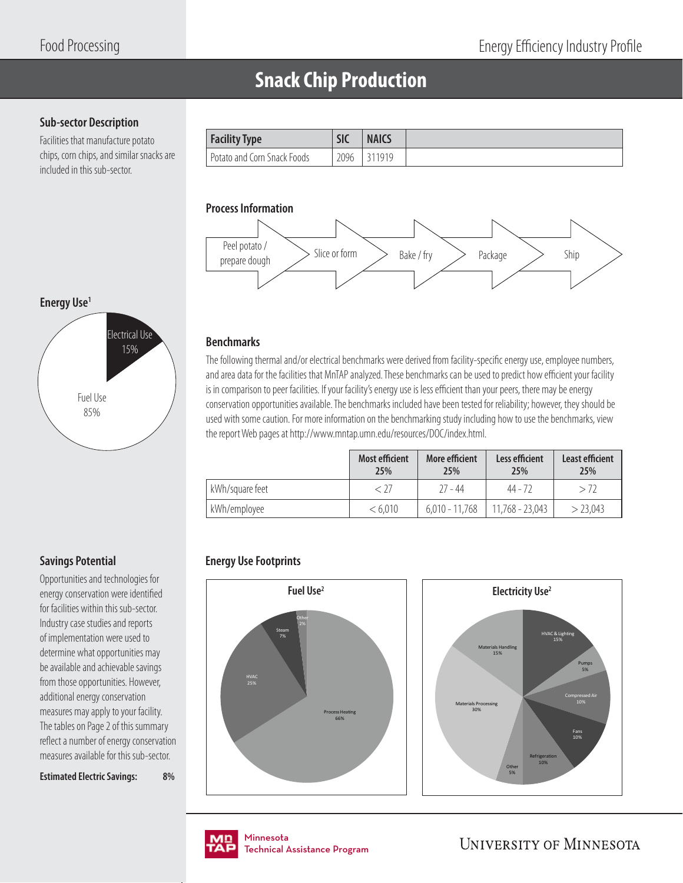## **Snack Chip Production**

### **Sub-sector Description**

Facilities that manufacture potato chips, corn chips, and similar snacks are included in this sub-sector.

| <b>Facility Type</b>          | <b>SIC</b> | <b>NAICS</b> |
|-------------------------------|------------|--------------|
| - Potato and Corn Snack Foods | 2096       | 311919       |

### **Process Information**



### **Benchmarks**

The following thermal and/or electrical benchmarks were derived from facility-specific energy use, employee numbers, and area data for the facilities that MnTAP analyzed. These benchmarks can be used to predict how efficient your facility is in comparison to peer facilities. If your facility's energy use is less efficient than your peers, there may be energy conservation opportunities available. The benchmarks included have been tested for reliability; however, they should be used with some caution. For more information on the benchmarking study including how to use the benchmarks, view the report Web pages at http://www.mntap.umn.edu/resources/DOC/index.html.

|                 | <b>Most efficient</b><br>25% | <b>More efficient</b><br>25% | Less efficient<br>25% | <b>Least efficient</b><br>25% |
|-----------------|------------------------------|------------------------------|-----------------------|-------------------------------|
| kWh/square feet | < 77                         | $77 - 44$                    | 44 - 72               | > 72                          |
| kWh/employee    | < 6.010                      | $6.010 - 11.768$             | 11,768 - 23,043       | > 23,043                      |

### **Energy Use Footprints**





nmesota<br>:chnical Assis Technical Assistance Program .<br>Tochnical / Technical Assistance Program

**UNIVERSITY OF MINNESOTA** 

5%

# **Energy Use1** Fuel Use 85% Electrical Use 15%

### **Savings Potential**

Opportunities and technologies for energy conservation were identified for facilities within this sub-sector. Industry case studies and reports of implementation were used to determine what opportunities may be available and achievable savings from those opportunities. However, additional energy conservation measures may apply to your facility. The tables on Page 2 of this summary reflect a number of energy conservation measures available for this sub-sector.

**Estimated Electric Savings: 8%**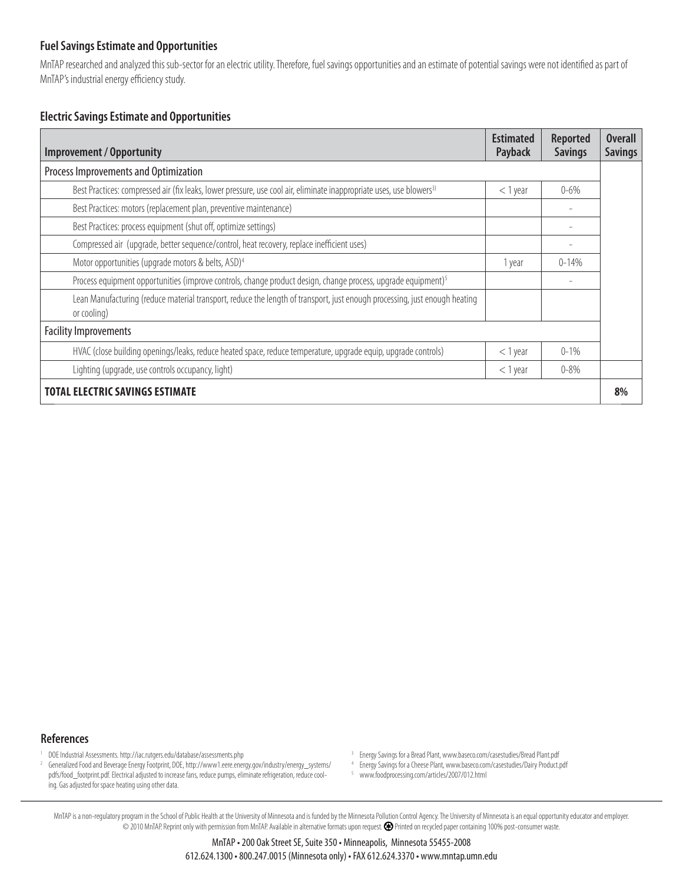MnTAP researched and analyzed this sub-sector for an electric utility. Therefore, fuel savings opportunities and an estimate of potential savings were not identified as part of MnTAP's industrial energy efficiency study.

### **Electric Savings Estimate and Opportunities**

| <b>Improvement / Opportunity</b>                                                                                                          | <b>Estimated</b><br>Payback | <b>Reported</b><br><b>Savings</b> | <b>Overall</b><br><b>Savings</b> |
|-------------------------------------------------------------------------------------------------------------------------------------------|-----------------------------|-----------------------------------|----------------------------------|
| Process Improvements and Optimization                                                                                                     |                             |                                   |                                  |
| Best Practices: compressed air (fix leaks, lower pressure, use cool air, eliminate inappropriate uses, use blowers <sup>3)</sup>          | $<$ 1 year                  | $0 - 6\%$                         |                                  |
| Best Practices: motors (replacement plan, preventive maintenance)                                                                         |                             |                                   |                                  |
| Best Practices: process equipment (shut off, optimize settings)                                                                           |                             |                                   |                                  |
| Compressed air (upgrade, better sequence/control, heat recovery, replace inefficient uses)                                                |                             |                                   |                                  |
| Motor opportunities (upgrade motors & belts, ASD) <sup>4</sup>                                                                            | 1 year                      | $0 - 14%$                         |                                  |
| Process equipment opportunities (improve controls, change product design, change process, upgrade equipment) <sup>5</sup>                 |                             |                                   |                                  |
| Lean Manufacturing (reduce material transport, reduce the length of transport, just enough processing, just enough heating<br>or cooling) |                             |                                   |                                  |
| <b>Facility Improvements</b>                                                                                                              |                             |                                   |                                  |
| HVAC (close building openings/leaks, reduce heated space, reduce temperature, upgrade equip, upgrade controls)                            | $<$ 1 year                  | $0 - 1\%$                         |                                  |
| Lighting (upgrade, use controls occupancy, light)                                                                                         | $<$ 1 year                  | $0 - 8\%$                         |                                  |
| <b>TOTAL ELECTRIC SAVINGS ESTIMATE</b>                                                                                                    |                             |                                   | 8%                               |

#### **References**

- 1 DOE Industrial Assessments. http://iac.rutgers.edu/database/assessments.php
- 2 Generalized Food and Beverage Energy Footprint, DOE, http://www1.eere.energy.gov/industry/energy\_systems/ pdfs/food\_footprint.pdf. Electrical adjusted to increase fans, reduce pumps, eliminate refrigeration, reduce cooling. Gas adjusted for space heating using other data.
- 3 Energy Savings for a Bread Plant, www.baseco.com/casestudies/Bread Plant.pdf
- 4 Energy Savings for a Cheese Plant, www.baseco.com/casestudies/Dairy Product.pdf
- 5 www.foodprocessing.com/articles/2007/012.html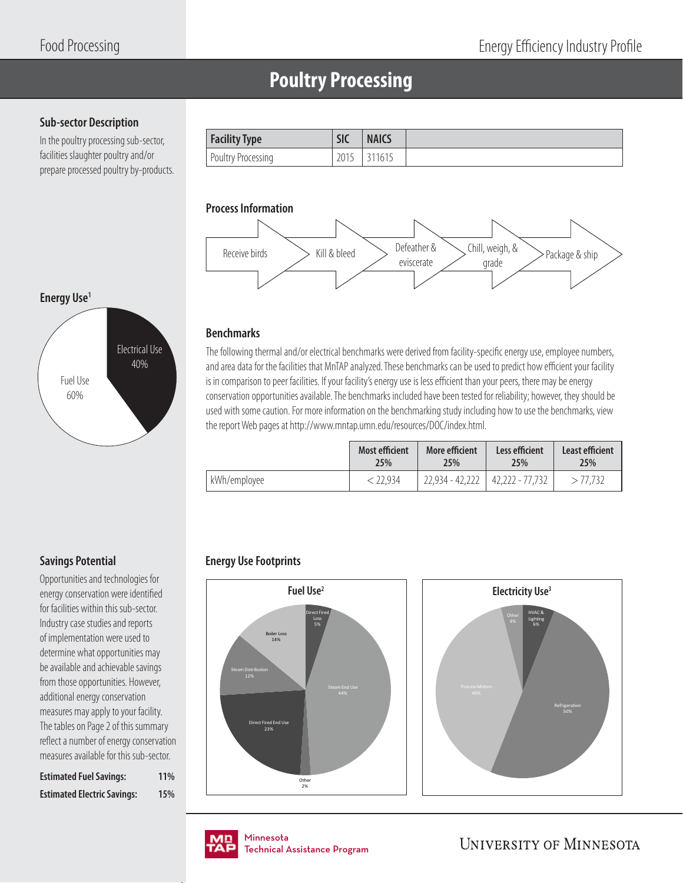## **Poultry Processing**

### **Sub-sector Description**

**Energy Use1**

In the poultry processing sub-sector, facilities slaughter poultry and/or prepare processed poultry by-products.

| <b>Facility Type</b> | <b>SIC</b> | <b>NAICS</b> |
|----------------------|------------|--------------|
| Poultry Processing   | 201        | 1615         |

### **Process Information**



### **Benchmarks**

The following thermal and/or electrical benchmarks were derived from facility-specific energy use, employee numbers, and area data for the facilities that MnTAP analyzed. These benchmarks can be used to predict how efficient your facility is in comparison to peer facilities. If your facility's energy use is less efficient than your peers, there may be energy conservation opportunities available. The benchmarks included have been tested for reliability; however, they should be used with some caution. For more information on the benchmarking study including how to use the benchmarks, view the report Web pages at http://www.mntap.umn.edu/resources/DOC/index.html.

|              | <b>Most efficient</b> | More efficient  | Less efficient  | Least efficient |
|--------------|-----------------------|-----------------|-----------------|-----------------|
|              | 25%                   | 25%             | 25%             | 25%             |
| kWh/employee | <i>&lt;</i> 22.934    | 22,934 - 42,222 | 42,222 - 77,732 | > 77.732        |

### **Energy Use Footprints**





# Fuel Use 60% Electrical Use 40%

### **Savings Potential**

Opportunities and technologies for energy conservation were identified for facilities within this sub-sector. Industry case studies and reports of implementation were used to determine what opportunities may be available and achievable savings from those opportunities. However, additional energy conservation measures may apply to your facility. The tables on Page 2 of this summary reflect a number of energy conservation measures available for this sub-sector.

| <b>Estimated Fuel Savings:</b>     | 11% |
|------------------------------------|-----|
| <b>Estimated Electric Savings:</b> | 15% |

nmesota<br>:chnical Assis Technical Assistance Program .<br>Tochnical / Technical Assistance Program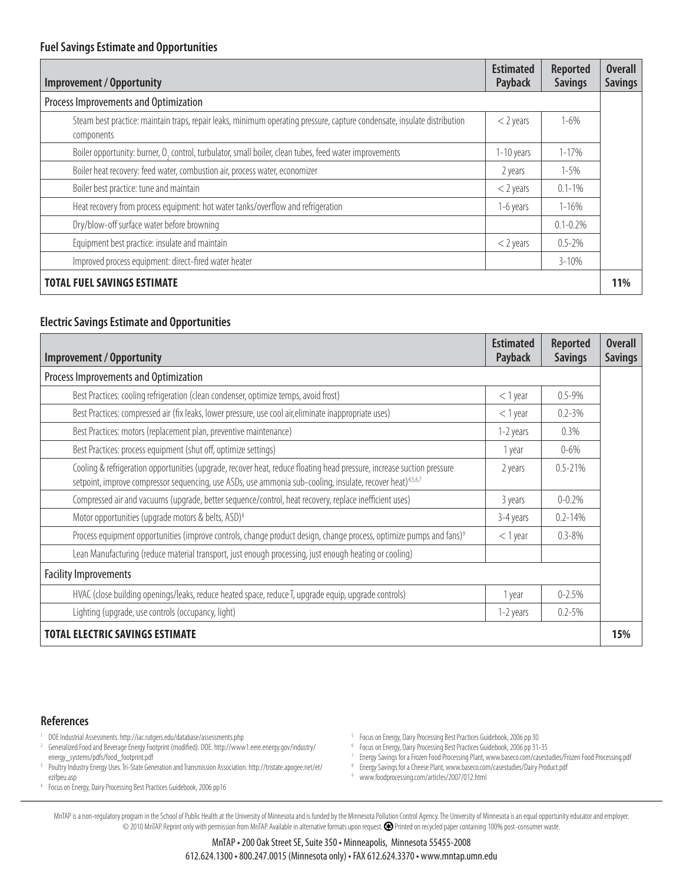| Improvement / Opportunity                                                                                                              | <b>Estimated</b><br>Payback | <b>Reported</b><br><b>Savings</b> | <b>Overall</b><br><b>Savings</b> |
|----------------------------------------------------------------------------------------------------------------------------------------|-----------------------------|-----------------------------------|----------------------------------|
| Process Improvements and Optimization                                                                                                  |                             |                                   |                                  |
| Steam best practice: maintain traps, repair leaks, minimum operating pressure, capture condensate, insulate distribution<br>components | $<$ 2 years                 | $1 - 6\%$                         |                                  |
| Boiler opportunity: burner, O <sub>2</sub> control, turbulator, small boiler, clean tubes, feed water improvements                     | 1-10 years                  | $1 - 17%$                         |                                  |
| Boiler heat recovery: feed water, combustion air, process water, economizer                                                            | 2 years                     | $1 - 5%$                          |                                  |
| Boiler best practice: tune and maintain                                                                                                | $<$ 2 years                 | $0.1 - 1\%$                       |                                  |
| Heat recovery from process equipment: hot water tanks/overflow and refrigeration                                                       | 1-6 years                   | $1 - 16%$                         |                                  |
| Dry/blow-off surface water before browning                                                                                             |                             | $0.1 - 0.2\%$                     |                                  |
| Equipment best practice: insulate and maintain                                                                                         | $<$ 2 years                 | $0.5 - 2\%$                       |                                  |
| Improved process equipment: direct-fired water heater                                                                                  |                             | $3 - 10\%$                        |                                  |
| <b>TOTAL FUEL SAVINGS ESTIMATE</b>                                                                                                     |                             |                                   | 11%                              |

### **Electric Savings Estimate and Opportunities**

| <b>Improvement / Opportunity</b>                                                                                                                                                                                                                 | <b>Estimated</b><br><b>Payback</b> | <b>Reported</b><br><b>Savings</b> | <b>Overall</b><br><b>Savings</b> |
|--------------------------------------------------------------------------------------------------------------------------------------------------------------------------------------------------------------------------------------------------|------------------------------------|-----------------------------------|----------------------------------|
| Process Improvements and Optimization                                                                                                                                                                                                            |                                    |                                   |                                  |
| Best Practices: cooling refrigeration (clean condenser, optimize temps, avoid frost)                                                                                                                                                             | $<$ 1 year                         | $0.5 - 9\%$                       |                                  |
| Best Practices: compressed air (fix leaks, lower pressure, use cool air, eliminate inappropriate uses)                                                                                                                                           | $<$ 1 year                         | $0.2 - 3\%$                       |                                  |
| Best Practices: motors (replacement plan, preventive maintenance)                                                                                                                                                                                | 1-2 years                          | $0.3\%$                           |                                  |
| Best Practices: process equipment (shut off, optimize settings)                                                                                                                                                                                  | 1 year                             | $0 - 6\%$                         |                                  |
| Cooling & refrigeration opportunities (upgrade, recover heat, reduce floating head pressure, increase suction pressure<br>setpoint, improve compressor sequencing, use ASDs, use ammonia sub-cooling, insulate, recover heat) <sup>4,5,6,7</sup> | 2 years                            | $0.5 - 21%$                       |                                  |
| Compressed air and vacuums (upgrade, better sequence/control, heat recovery, replace inefficient uses)                                                                                                                                           | 3 years                            | $0 - 0.2%$                        |                                  |
| Motor opportunities (upgrade motors & belts, ASD) <sup>8</sup>                                                                                                                                                                                   | 3-4 years                          | $0.2 - 14%$                       |                                  |
| Process equipment opportunities (improve controls, change product design, change process, optimize pumps and fans) <sup>9</sup>                                                                                                                  | $<$ 1 year                         | $0.3 - 8\%$                       |                                  |
| Lean Manufacturing (reduce material transport, just enough processing, just enough heating or cooling)                                                                                                                                           |                                    |                                   |                                  |
| <b>Facility Improvements</b>                                                                                                                                                                                                                     |                                    |                                   |                                  |
| HVAC (close building openings/leaks, reduce heated space, reduce T, upgrade equip, upgrade controls)                                                                                                                                             | 1 year                             | $0 - 2.5%$                        |                                  |
| Lighting (upgrade, use controls (occupancy, light)                                                                                                                                                                                               | 1-2 years                          | $0.2 - 5\%$                       |                                  |
| <b>TOTAL ELECTRIC SAVINGS ESTIMATE</b>                                                                                                                                                                                                           |                                    |                                   | 15%                              |

#### **References**

- 1 DOE Industrial Assessments. http://iac.rutgers.edu/database/assessments.php
- <sup>2</sup> Generalized Food and Beverage Energy Footprint (modified). DOE. http://www1.eere.energy.gov/industry/ energy\_systems/pdfs/food\_footprint.pdf
- 3 Poultry Industry Energy Uses. Tri-State Generation and Transmission Association. http://tristate.apogee.net/et/ ezifpeu.asp
- 4 Focus on Energy, Dairy Processing Best Practices Guidebook, 2006 pp16
- 5 Focus on Energy, Dairy Processing Best Practices Guidebook, 2006 pp 30
- 6 Focus on Energy, Dairy Processing Best Practices Guidebook, 2006 pp 31-35
- 7 Energy Savings for a Frozen Food Processing Plant, www.baseco.com/casestudies/Frozen Food Processing.pdf
- 8 Energy Savings for a Cheese Plant, www.baseco.com/casestudies/Dairy Product.pdf
- 9 www.foodprocessing.com/articles/2007/012.html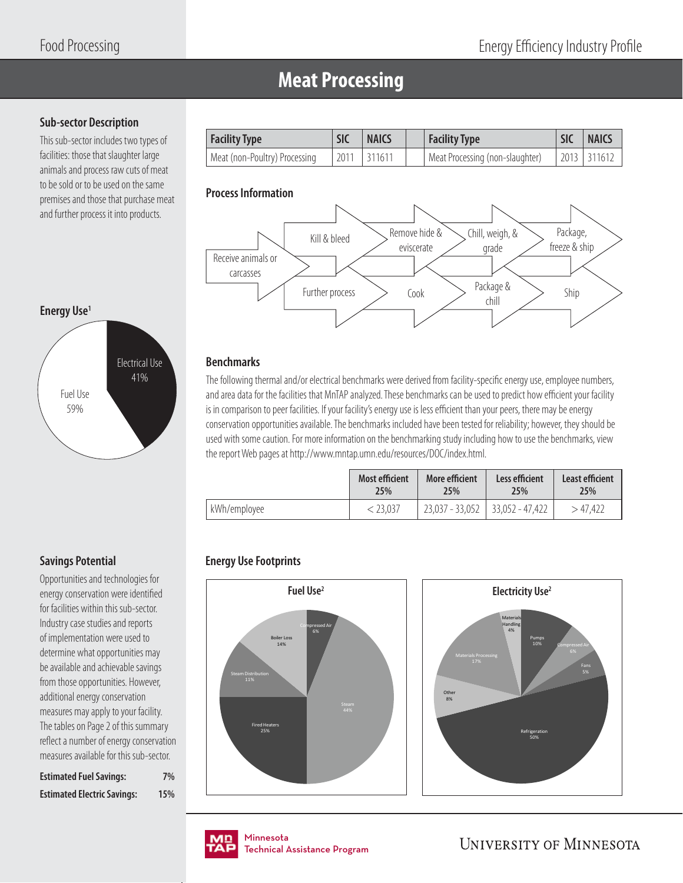### **Meat Processing**

### **Sub-sector Description**

This sub-sector includes two types of facilities: those that slaughter large animals and process raw cuts of meat to be sold or to be used on the same premises and those that purchase meat and further process it into products.

| <b>Facility Type</b>          | <b>SIC</b> | <b>NAICS</b>    | Facility Type                   | <b>SIC</b> | <b>NAICS</b>  |
|-------------------------------|------------|-----------------|---------------------------------|------------|---------------|
| Meat (non-Poultry) Processing |            | $2011$   311611 | Meat Processing (non-slaughter) |            | 2013   311612 |

### **Process Information**



### **Benchmarks**

The following thermal and/or electrical benchmarks were derived from facility-specific energy use, employee numbers, and area data for the facilities that MnTAP analyzed. These benchmarks can be used to predict how efficient your facility is in comparison to peer facilities. If your facility's energy use is less efficient than your peers, there may be energy conservation opportunities available. The benchmarks included have been tested for reliability; however, they should be used with some caution. For more information on the benchmarking study including how to use the benchmarks, view the report Web pages at http://www.mntap.umn.edu/resources/DOC/index.html.

|              | <b>Most efficient</b> | More efficient                      | Less efficient | Least efficient |
|--------------|-----------------------|-------------------------------------|----------------|-----------------|
|              | 25%                   | 25%                                 | 25%            | 25%             |
| kWh/employee | 23.037                | $23,037 - 33,052$   33,052 - 47,422 |                | > 47.422        |

### **Energy Use Footprints**





# Fuel Use 59% Electrical Use 41%

### **Savings Potential**

**Energy Use1**

Opportunities and technologies for energy conservation were identified for facilities within this sub-sector. Industry case studies and reports of implementation were used to determine what opportunities may be available and achievable savings from those opportunities. However, additional energy conservation measures may apply to your facility. The tables on Page 2 of this summary reflect a number of energy conservation measures available for this sub-sector.

| <b>Estimated Fuel Savings:</b>     | 7%  |
|------------------------------------|-----|
| <b>Estimated Electric Savings:</b> | 15% |

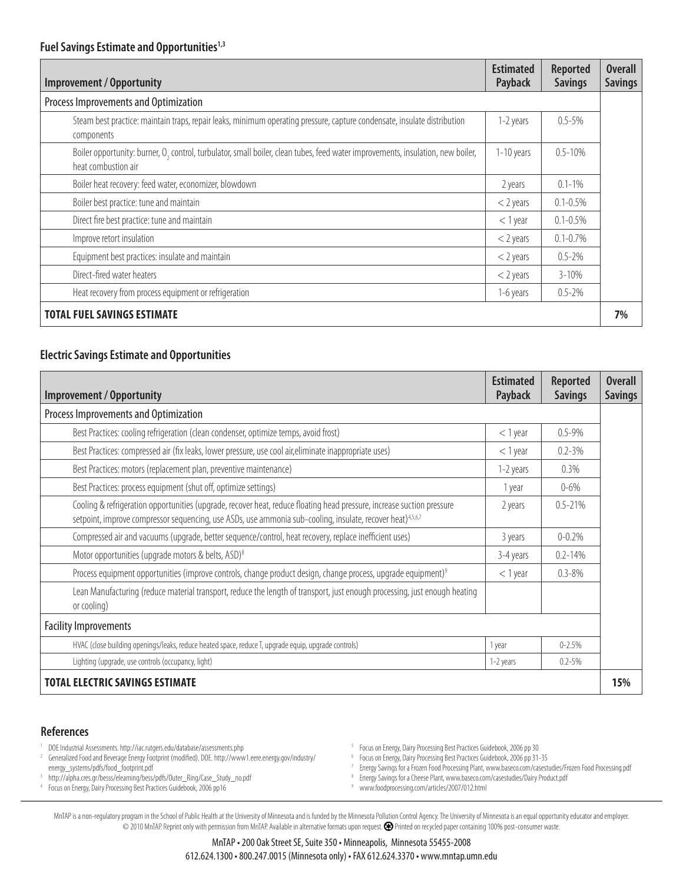| <b>Improvement / Opportunity</b>                                                                                                                       | <b>Estimated</b><br>Payback | <b>Reported</b><br><b>Savings</b> | <b>Overall</b><br><b>Savings</b> |
|--------------------------------------------------------------------------------------------------------------------------------------------------------|-----------------------------|-----------------------------------|----------------------------------|
| Process Improvements and Optimization                                                                                                                  |                             |                                   |                                  |
| Steam best practice: maintain traps, repair leaks, minimum operating pressure, capture condensate, insulate distribution<br>components                 | 1-2 years                   | $0.5 - 5\%$                       |                                  |
| Boiler opportunity: burner, O, control, turbulator, small boiler, clean tubes, feed water improvements, insulation, new boiler,<br>heat combustion air | 1-10 years                  | $0.5 - 10%$                       |                                  |
| Boiler heat recovery: feed water, economizer, blowdown                                                                                                 | 2 years                     | $0.1 - 1\%$                       |                                  |
| Boiler best practice: tune and maintain                                                                                                                | $<$ 2 years                 | $0.1 - 0.5\%$                     |                                  |
| Direct fire best practice: tune and maintain                                                                                                           | $<$ 1 year                  | $0.1 - 0.5\%$                     |                                  |
| Improve retort insulation                                                                                                                              | $<$ 2 years                 | $0.1 - 0.7\%$                     |                                  |
| Equipment best practices: insulate and maintain                                                                                                        | $<$ 2 years                 | $0.5 - 2\%$                       |                                  |
| Direct-fired water heaters                                                                                                                             | $<$ 2 years                 | $3 - 10\%$                        |                                  |
| Heat recovery from process equipment or refrigeration                                                                                                  | 1-6 years                   | $0.5 - 2\%$                       |                                  |
| <b>TOTAL FUEL SAVINGS ESTIMATE</b>                                                                                                                     |                             |                                   | 7%                               |

### **Electric Savings Estimate and Opportunities**

| <b>Improvement / Opportunity</b>                                                                                                                                                                                                                 | <b>Estimated</b><br>Payback | <b>Reported</b><br><b>Savings</b> | <b>Overall</b><br><b>Savings</b> |
|--------------------------------------------------------------------------------------------------------------------------------------------------------------------------------------------------------------------------------------------------|-----------------------------|-----------------------------------|----------------------------------|
| Process Improvements and Optimization                                                                                                                                                                                                            |                             |                                   |                                  |
| Best Practices: cooling refrigeration (clean condenser, optimize temps, avoid frost)                                                                                                                                                             | $<$ 1 year                  | $0.5 - 9\%$                       |                                  |
| Best Practices: compressed air (fix leaks, lower pressure, use cool air, eliminate inappropriate uses)                                                                                                                                           | $<$ 1 year                  | $0.2 - 3\%$                       |                                  |
| Best Practices: motors (replacement plan, preventive maintenance)                                                                                                                                                                                | 1-2 years                   | 0.3%                              |                                  |
| Best Practices: process equipment (shut off, optimize settings)                                                                                                                                                                                  | 1 year                      | $0 - 6\%$                         |                                  |
| Cooling & refrigeration opportunities (upgrade, recover heat, reduce floating head pressure, increase suction pressure<br>setpoint, improve compressor sequencing, use ASDs, use ammonia sub-cooling, insulate, recover heat) <sup>4,5,6,7</sup> | 2 years                     | $0.5 - 21%$                       |                                  |
| Compressed air and vacuums (upgrade, better sequence/control, heat recovery, replace inefficient uses)                                                                                                                                           | 3 years                     | $0 - 0.2%$                        |                                  |
| Motor opportunities (upgrade motors & belts, ASD) <sup>8</sup>                                                                                                                                                                                   | 3-4 years                   | $0.2 - 14%$                       |                                  |
| Process equipment opportunities (improve controls, change product design, change process, upgrade equipment) <sup>9</sup>                                                                                                                        | $<$ 1 year                  | $0.3 - 8\%$                       |                                  |
| Lean Manufacturing (reduce material transport, reduce the length of transport, just enough processing, just enough heating<br>or cooling)                                                                                                        |                             |                                   |                                  |
| <b>Facility Improvements</b>                                                                                                                                                                                                                     |                             |                                   |                                  |
| HVAC (close building openings/leaks, reduce heated space, reduce T, upgrade equip, upgrade controls)                                                                                                                                             | 1 year                      | $0 - 2.5%$                        |                                  |
| Lighting (upgrade, use controls (occupancy, light)                                                                                                                                                                                               | 1-2 years                   | $0.2 - 5%$                        |                                  |
| <b>TOTAL ELECTRIC SAVINGS ESTIMATE</b>                                                                                                                                                                                                           |                             |                                   | 15%                              |

### **References**

- 1 DOE Industrial Assessments. http://iac.rutgers.edu/database/assessments.php
- 2 Generalized Food and Beverage Energy Footprint (modified). DOE. http://www1.eere.energy.gov/industry/ energy\_systems/pdfs/food\_footprint.pdf 3
- <sup>3</sup> http://alpha.cres.gr/besss/elearning/bess/pdfs/Outer\_Ring/Case\_Study\_no.pdf<br><sup>4</sup> Focus on Energy. Dairy Processing Best Practices Guidebook. 2006 pp16 4 Focus on Energy, Dairy Processing Best Practices Guidebook, 2006 pp16
- 5 Focus on Energy, Dairy Processing Best Practices Guidebook, 2006 pp 30
- 6 Focus on Energy, Dairy Processing Best Practices Guidebook, 2006 pp 31-35
- 7 Energy Savings for a Frozen Food Processing Plant, www.baseco.com/casestudies/Frozen Food Processing.pdf
- 8 Energy Savings for a Cheese Plant, www.baseco.com/casestudies/Dairy Product.pdf
- 9 www.foodprocessing.com/articles/2007/012.html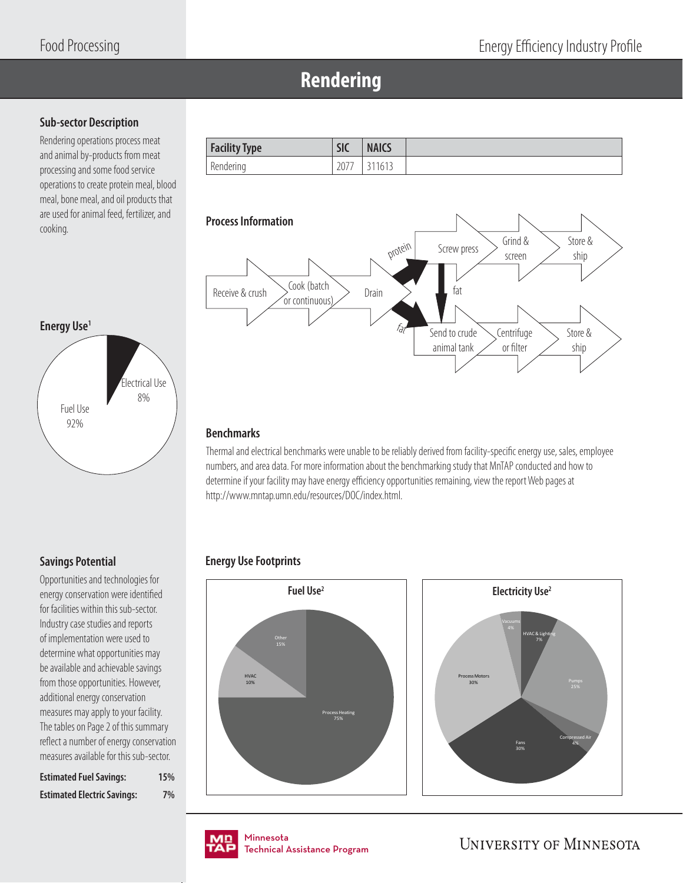### **Rendering**

### **Sub-sector Description**

Rendering operations process meat and animal by-products from meat processing and some food service operations to create protein meal, blood meal, bone meal, and oil products that are used for animal feed, fertilizer, and are used for animal reed, reculter, and<br>cooking.

| <b>Facility Type</b> | <b>SIC</b> | <b>NAICS</b> |
|----------------------|------------|--------------|
| Rendering            | 2077       | 311613       |



### **Energy Use1**



### **Savings Potential**

Opportunities and technologies for energy conservation were identified for facilities within this sub-sector. Industry case studies and reports of implementation were used to determine what opportunities may be available and achievable savings from those opportunities. However, additional energy conservation measures may apply to your facility. The tables on Page 2 of this summary reflect a number of energy conservation measures available for this sub-sector.

| <b>Estimated Fuel Savings:</b>     | 15% |
|------------------------------------|-----|
| <b>Estimated Electric Savings:</b> | 7%  |

### **Benchmarks**

Thermal and electrical benchmarks were unable to be reliably derived from facility-specific energy use, sales, employee numbers, and area data. For more information about the benchmarking study that MnTAP conducted and how to determine if your facility may have energy efficiency opportunities remaining, view the report Web pages at http://www.mntap.umn.edu/resources/DOC/index.html.

### **Energy Use Footprints**





nmesota<br>:chnical Assis Technical Assistance Program .<br>Tochnical / Technical Assistance Program

**UNIVERSITY OF MINNESOTA** 

Compressed Air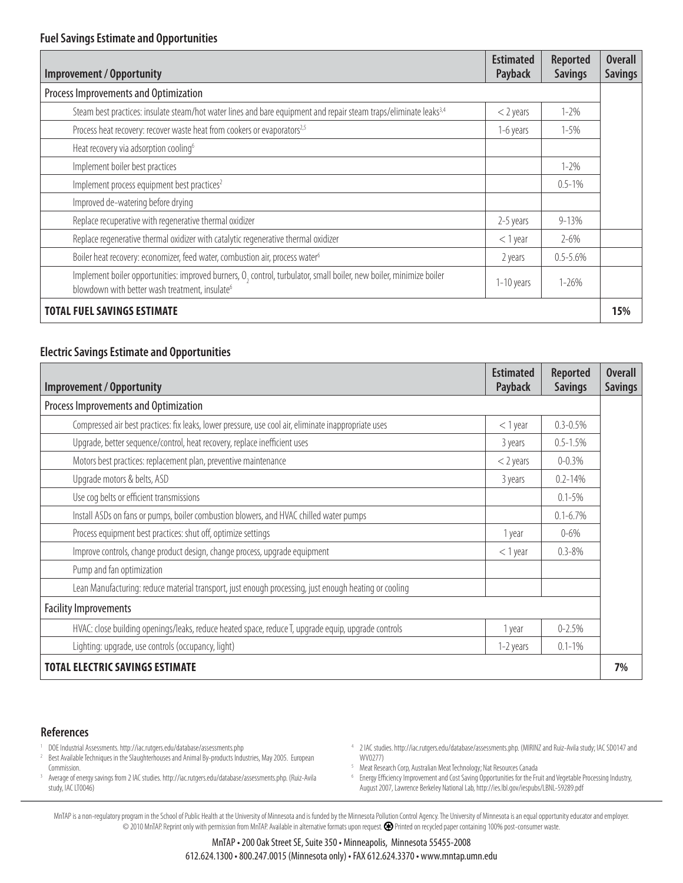| <b>Improvement / Opportunity</b>                                                                                                                                                  | <b>Estimated</b><br>Payback | <b>Reported</b><br><b>Savings</b> | <b>Overall</b><br><b>Savings</b> |
|-----------------------------------------------------------------------------------------------------------------------------------------------------------------------------------|-----------------------------|-----------------------------------|----------------------------------|
| Process Improvements and Optimization                                                                                                                                             |                             |                                   |                                  |
| Steam best practices: insulate steam/hot water lines and bare equipment and repair steam traps/eliminate leaks <sup>3,4</sup>                                                     | $<$ 2 years                 | $1 - 2\%$                         |                                  |
| Process heat recovery: recover waste heat from cookers or evaporators <sup>2,5</sup>                                                                                              | 1-6 years                   | $1 - 5%$                          |                                  |
| Heat recovery via adsorption cooling <sup>6</sup>                                                                                                                                 |                             |                                   |                                  |
| Implement boiler best practices                                                                                                                                                   |                             | $1 - 2\%$                         |                                  |
| Implement process equipment best practices <sup>2</sup>                                                                                                                           |                             | $0.5 - 1\%$                       |                                  |
| Improved de-watering before drying                                                                                                                                                |                             |                                   |                                  |
| Replace recuperative with regenerative thermal oxidizer                                                                                                                           | 2-5 years                   | $9 - 13%$                         |                                  |
| Replace regenerative thermal oxidizer with catalytic regenerative thermal oxidizer                                                                                                | $<$ 1 year                  | $2 - 6\%$                         |                                  |
| Boiler heat recovery: economizer, feed water, combustion air, process water <sup>6</sup>                                                                                          | 2 years                     | $0.5 - 5.6%$                      |                                  |
| Implement boiler opportunities: improved burners, O, control, turbulator, small boiler, new boiler, minimize boiler<br>blowdown with better wash treatment, insulate <sup>6</sup> | 1-10 years                  | $1 - 26\%$                        |                                  |
| <b>TOTAL FUEL SAVINGS ESTIMATE</b>                                                                                                                                                |                             |                                   | 15%                              |

### **Electric Savings Estimate and Opportunities**

| <b>Improvement / Opportunity</b>                                                                      | <b>Estimated</b><br>Payback | <b>Reported</b><br><b>Savings</b> | <b>Overall</b><br><b>Savings</b> |
|-------------------------------------------------------------------------------------------------------|-----------------------------|-----------------------------------|----------------------------------|
| Process Improvements and Optimization                                                                 |                             |                                   |                                  |
| Compressed air best practices: fix leaks, lower pressure, use cool air, eliminate inappropriate uses  | $<$ 1 year                  | $0.3 - 0.5%$                      |                                  |
| Upgrade, better sequence/control, heat recovery, replace inefficient uses                             | 3 years                     | $0.5 - 1.5%$                      |                                  |
| Motors best practices: replacement plan, preventive maintenance                                       | $<$ 2 years                 | $0 - 0.3%$                        |                                  |
| Upgrade motors & belts, ASD                                                                           | 3 years                     | $0.2 - 14%$                       |                                  |
| Use cog belts or efficient transmissions                                                              |                             | $0.1 - 5\%$                       |                                  |
| Install ASDs on fans or pumps, boiler combustion blowers, and HVAC chilled water pumps                |                             | $0.1 - 6.7\%$                     |                                  |
| Process equipment best practices: shut off, optimize settings                                         | 1 year                      | $0 - 6\%$                         |                                  |
| Improve controls, change product design, change process, upgrade equipment<br>$<$ 1 year              |                             | $0.3 - 8\%$                       |                                  |
| Pump and fan optimization                                                                             |                             |                                   |                                  |
| Lean Manufacturing: reduce material transport, just enough processing, just enough heating or cooling |                             |                                   |                                  |
| <b>Facility Improvements</b>                                                                          |                             |                                   |                                  |
| HVAC: close building openings/leaks, reduce heated space, reduce T, upgrade equip, upgrade controls   | 1 year                      | $0 - 2.5%$                        |                                  |
| Lighting: upgrade, use controls (occupancy, light)                                                    | 1-2 years                   | $0.1 - 1\%$                       |                                  |
| <b>TOTAL ELECTRIC SAVINGS ESTIMATE</b>                                                                |                             |                                   | 7%                               |

#### **References**

- 1 DOE Industrial Assessments. http://iac.rutgers.edu/database/assessments.php
- 2 Best Available Techniques in the Slaughterhouses and Animal By-products Industries, May 2005. European Commission.
- 3 Average of energy savings from 2 IAC studies. http://iac.rutgers.edu/database/assessments.php. (Ruiz-Avila study, IAC LT0046)
- 4 2 IAC studies. http://iac.rutgers.edu/database/assessments.php. (MIRINZ and Ruiz-Avila study; IAC SD0147 and WV0277)
- <sup>5</sup> Meat Research Corp, Australian Meat Technology; Nat Resources Canada
- <sup>6</sup> Energy Efficiency Improvement and Cost Saving Opportunities for the Fruit and Vegetable Processing Industry, August 2007, Lawrence Berkeley National Lab, http://ies.lbl.gov/iespubs/LBNL-59289.pdf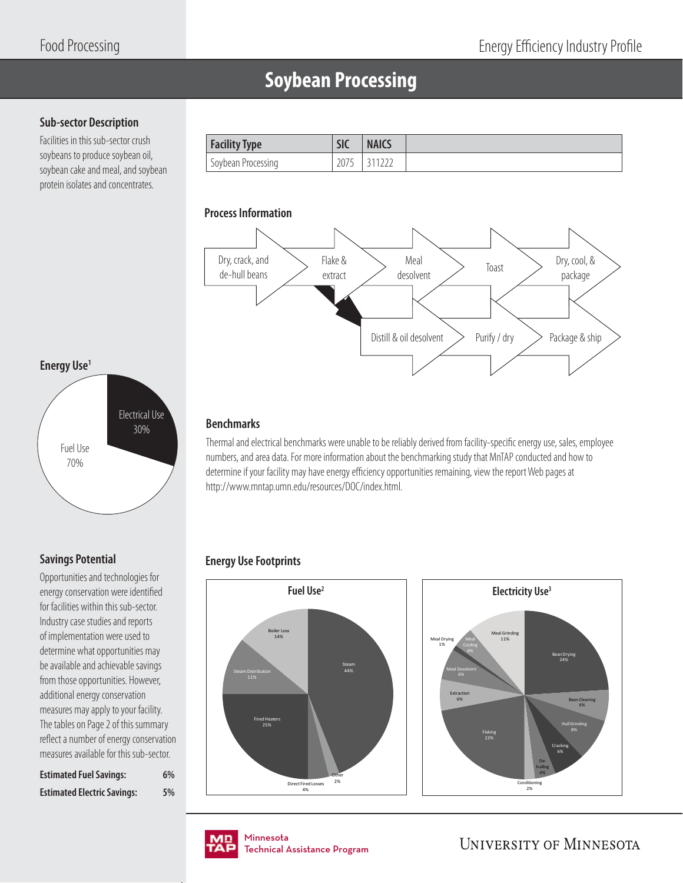### **Soybean Processing**

### **Sub-sector Description**

Facilities in this sub-sector crush soybeans to produce soybean oil, soybean cake and meal, and soybean protein isolates and concentrates.

| <b>Facility Type</b> | <b>SIC</b> | <b>NAICS</b> |
|----------------------|------------|--------------|
| Soybean Processing   | 2075       |              |

### **Process Information**



### **Energy Use1**



### **Savings Potential**

Opportunities and technologies for energy conservation were identified for facilities within this sub-sector. Industry case studies and reports of implementation were used to determine what opportunities may be available and achievable savings from those opportunities. However, additional energy conservation measures may apply to your facility. The tables on Page 2 of this summary reflect a number of energy conservation measures available for this sub-sector.

| <b>Estimated Fuel Savings:</b>     | 6% |
|------------------------------------|----|
| <b>Estimated Electric Savings:</b> | 5% |

### **Benchmarks**

Thermal and electrical benchmarks were unable to be reliably derived from facility-specific energy use, sales, employee numbers, and area data. For more information about the benchmarking study that MnTAP conducted and how to determine if your facility may have energy efficiency opportunities remaining, view the report Web pages at http://www.mntap.umn.edu/resources/DOC/index.html.

### **Energy Use Footprints**





Minnesota Minnesota Technical Assistance Program Technical Assistance Program

**UNIVERSITY OF MINNESOTA** 

Bean Drying 24%

Cracking 6%

Bean Cleaning 6% Hull Grinding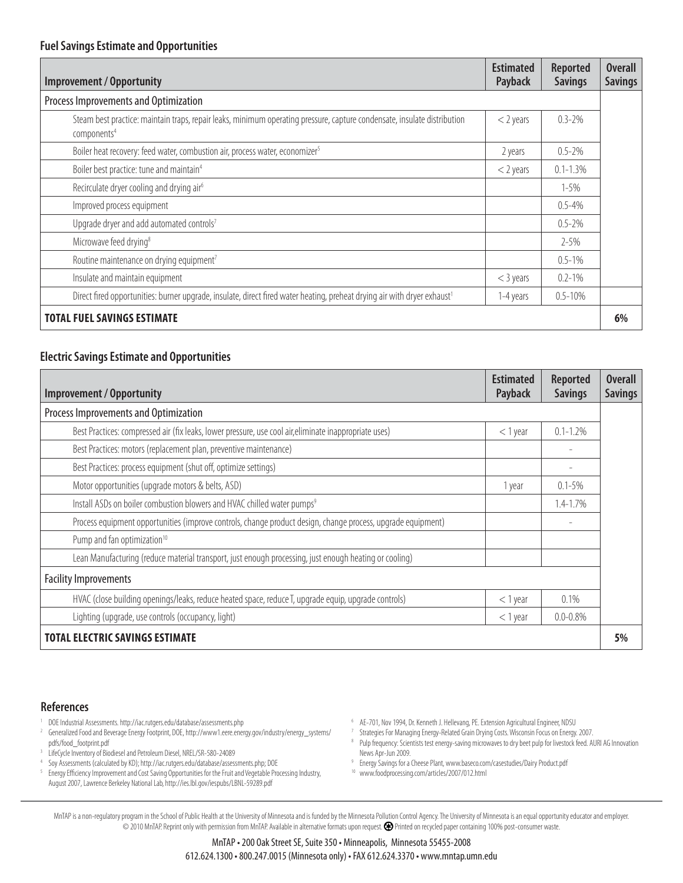| <b>Improvement / Opportunity</b>                                                                                                                    | <b>Estimated</b><br>Payback | <b>Reported</b><br><b>Savings</b> | <b>Overall</b><br><b>Savings</b> |
|-----------------------------------------------------------------------------------------------------------------------------------------------------|-----------------------------|-----------------------------------|----------------------------------|
| Process Improvements and Optimization                                                                                                               |                             |                                   |                                  |
| Steam best practice: maintain traps, repair leaks, minimum operating pressure, capture condensate, insulate distribution<br>components <sup>4</sup> | $<$ 2 years                 | $0.3 - 2\%$                       |                                  |
| Boiler heat recovery: feed water, combustion air, process water, economizer <sup>5</sup>                                                            | 2 years                     | $0.5 - 2\%$                       |                                  |
| Boiler best practice: tune and maintain <sup>4</sup>                                                                                                | $<$ 2 years                 | $0.1 - 1.3\%$                     |                                  |
| Recirculate dryer cooling and drying air <sup>6</sup>                                                                                               |                             | $1 - 5\%$                         |                                  |
| Improved process equipment                                                                                                                          |                             | $0.5 - 4\%$                       |                                  |
| Upgrade dryer and add automated controls7                                                                                                           |                             | $0.5 - 2\%$                       |                                  |
| Microwave feed drying <sup>8</sup>                                                                                                                  |                             | $2 - 5\%$                         |                                  |
| Routine maintenance on drying equipment <sup>7</sup>                                                                                                |                             | $0.5 - 1\%$                       |                                  |
| Insulate and maintain equipment                                                                                                                     | $<$ 3 years                 | $0.2 - 1\%$                       |                                  |
| Direct fired opportunities: burner upgrade, insulate, direct fired water heating, preheat drying air with dryer exhaust <sup>1</sup>                | 1-4 years                   | $0.5 - 10%$                       |                                  |
| <b>TOTAL FUEL SAVINGS ESTIMATE</b>                                                                                                                  |                             |                                   | 6%                               |

### **Electric Savings Estimate and Opportunities**

| <b>Improvement / Opportunity</b>                                                                             | <b>Estimated</b><br>Payback | Reported<br><b>Savings</b> | <b>Overall</b><br><b>Savings</b> |
|--------------------------------------------------------------------------------------------------------------|-----------------------------|----------------------------|----------------------------------|
| Process Improvements and Optimization                                                                        |                             |                            |                                  |
| Best Practices: compressed air (fix leaks, lower pressure, use cool air, eliminate inappropriate uses)       | $<$ 1 year                  | $0.1 - 1.2%$               |                                  |
| Best Practices: motors (replacement plan, preventive maintenance)                                            |                             |                            |                                  |
| Best Practices: process equipment (shut off, optimize settings)                                              |                             |                            |                                  |
| Motor opportunities (upgrade motors & belts, ASD)                                                            | 1 year                      | $0.1 - 5\%$                |                                  |
| Install ASDs on boiler combustion blowers and HVAC chilled water pumps <sup>9</sup>                          |                             | $1.4 - 1.7\%$              |                                  |
| Process equipment opportunities (improve controls, change product design, change process, upgrade equipment) |                             |                            |                                  |
| Pump and fan optimization <sup>10</sup>                                                                      |                             |                            |                                  |
| Lean Manufacturing (reduce material transport, just enough processing, just enough heating or cooling)       |                             |                            |                                  |
| <b>Facility Improvements</b>                                                                                 |                             |                            |                                  |
| HVAC (close building openings/leaks, reduce heated space, reduce T, upgrade equip, upgrade controls)         | $<$ 1 year                  | 0.1%                       |                                  |
| Lighting (upgrade, use controls (occupancy, light)                                                           | $<$ 1 year                  | $0.0 - 0.8\%$              |                                  |
| <b>TOTAL ELECTRIC SAVINGS ESTIMATE</b>                                                                       |                             |                            | 5%                               |

#### **References**

- 1 1 DOE Industrial Assessments. http://iac.rutgers.edu/database/assessments.php<br>2 Generalized Food and Reverage Energy Footprint DOE http://www1eree.ener
- 2 Generalized Food and Beverage Energy Footprint, DOE, http://www1.eere.energy.gov/industry/energy\_systems/ pdfs/food\_footprint.pdf
- 3 LifeCycle Inventory of Biodiesel and Petroleum Diesel, NREL/SR-580-24089
- 4 Soy Assessments (calculated by KD); http://iac.rutgers.edu/database/assessments.php; DOE
- <sup>5</sup> Energy Efficiency Improvement and Cost Saving Opportunities for the Fruit and Vegetable Processing Industry, August 2007, Lawrence Berkeley National Lab, http://ies.lbl.gov/iespubs/LBNL-59289.pdf
- <sup>6</sup> AE-701, Nov 1994, Dr. Kenneth J. Hellevang, PE. Extension Agricultural Engineer, NDSU
- <sup>7</sup> Strategies For Managing Energy-Related Grain Drying Costs. Wisconsin Focus on Energy. 2007.
- <sup>8</sup> Pulp frequency: Scientists test energy-saving microwaves to dry beet pulp for livestock feed. AURI AG Innovation News Apr-Jun 2009.
- 9 Energy Savings for a Cheese Plant, www.baseco.com/casestudies/Dairy Product.pdf
- 10 www.foodprocessing.com/articles/2007/012.html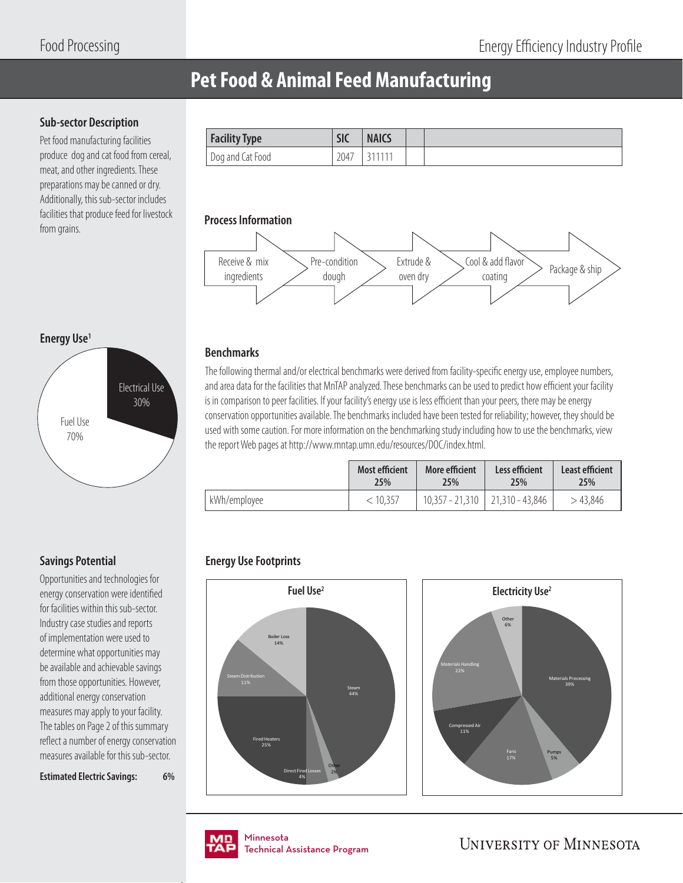### **Pet Food & Animal Feed Manufacturing**

### **Sub-sector Description**

Pet food manufacturing facilities produce dog and cat food from cereal, meat, and other ingredients. These preparations may be canned or dry. Additionally, this sub-sector includes facilities that produce feed for livestock **Frocess Information** from grains.

| <b>Facility Type</b> | $\overline{C}$<br>ж                             | <b>NAICS</b>  |  |
|----------------------|-------------------------------------------------|---------------|--|
| Dog and Cat Food     | $\overline{\phantom{a}}$<br>$\cap \cap$<br>204, | <b>044444</b> |  |



### **Benchmarks**

The following thermal and/or electrical benchmarks were derived from facility-specific energy use, employee numbers, and area data for the facilities that MnTAP analyzed. These benchmarks can be used to predict how efficient your facility is in comparison to peer facilities. If your facility's energy use is less efficient than your peers, there may be energy conservation opportunities available. The benchmarks included have been tested for reliability; however, they should be used with some caution. For more information on the benchmarking study including how to use the benchmarks, view the report Web pages at http://www.mntap.umn.edu/resources/DOC/index.html.

|              | <b>Most efficient</b> | More efficient | Less efficient                      | Least efficient |
|--------------|-----------------------|----------------|-------------------------------------|-----------------|
|              | 25%                   | 25%            | 25%                                 | 25%             |
| kWh/employee | < 10.357              |                | $10,357 - 21,310$   21,310 - 43,846 | >43.846         |

### **Energy Use Footprints**





nmesota<br>:chnical Assis Technical Assistance Program .<br>Tochnical / Technical Assistance Program

**UNIVERSITY OF MINNESOTA** 

### **Energy Use1**



### **Savings Potential**

Opportunities and technologies for energy conservation were identified for facilities within this sub-sector. Industry case studies and reports of implementation were used to determine what opportunities may be available and achievable savings from those opportunities. However, additional energy conservation measures may apply to your facility. The tables on Page 2 of this summary reflect a number of energy conservation measures available for this sub-sector.

**Estimated Electric Savings: 6%**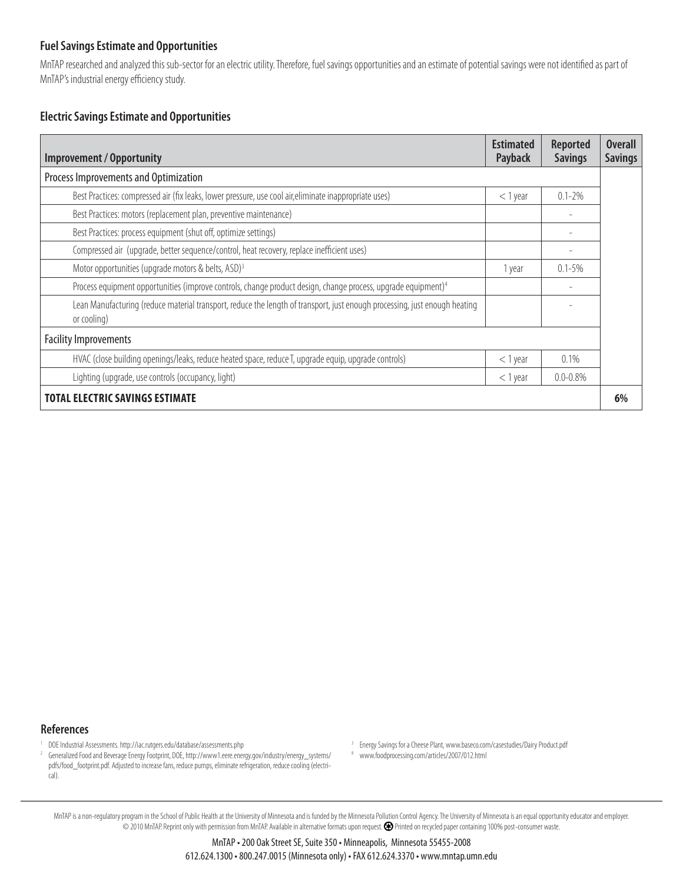MnTAP researched and analyzed this sub-sector for an electric utility. Therefore, fuel savings opportunities and an estimate of potential savings were not identified as part of MnTAP's industrial energy efficiency study.

### **Electric Savings Estimate and Opportunities**

| <b>Improvement / Opportunity</b>                                                                                                          | <b>Estimated</b><br>Payback | <b>Reported</b><br><b>Savings</b> | <b>Overall</b><br><b>Savings</b> |
|-------------------------------------------------------------------------------------------------------------------------------------------|-----------------------------|-----------------------------------|----------------------------------|
| Process Improvements and Optimization                                                                                                     |                             |                                   |                                  |
| Best Practices: compressed air (fix leaks, lower pressure, use cool air, eliminate inappropriate uses)                                    | $<$ 1 year                  | $0.1 - 2\%$                       |                                  |
| Best Practices: motors (replacement plan, preventive maintenance)                                                                         |                             |                                   |                                  |
| Best Practices: process equipment (shut off, optimize settings)                                                                           |                             |                                   |                                  |
| Compressed air (upgrade, better sequence/control, heat recovery, replace inefficient uses)                                                |                             |                                   |                                  |
| Motor opportunities (upgrade motors & belts, ASD) <sup>3</sup>                                                                            | 1 year                      | $0.1 - 5\%$                       |                                  |
| Process equipment opportunities (improve controls, change product design, change process, upgrade equipment) <sup>4</sup>                 |                             |                                   |                                  |
| Lean Manufacturing (reduce material transport, reduce the length of transport, just enough processing, just enough heating<br>or cooling) |                             |                                   |                                  |
| <b>Facility Improvements</b>                                                                                                              |                             |                                   |                                  |
| HVAC (close building openings/leaks, reduce heated space, reduce T, upgrade equip, upgrade controls)                                      | $<$ 1 year                  | $0.1\%$                           |                                  |
| Lighting (upgrade, use controls (occupancy, light)                                                                                        | $<$ 1 year                  | $0.0 - 0.8\%$                     |                                  |
| <b>TOTAL ELECTRIC SAVINGS ESTIMATE</b>                                                                                                    |                             |                                   | 6%                               |

**References**

1 1 DOE Industrial Assessments. http://iac.rutgers.edu/database/assessments.php<br>2 Generalized Food and Reverage Energy Footprint DOE http://www.1.eere.ener

- <sup>3</sup> Energy Savings for a Cheese Plant, www.baseco.com/casestudies/Dairy Product.pdf
- 8 www.foodprocessing.com/articles/2007/012.html

<sup>2</sup> Generalized Food and Beverage Energy Footprint, DOE, http://www1.eere.energy.gov/industry/energy\_systems/ pdfs/food\_footprint.pdf. Adjusted to increase fans, reduce pumps, eliminate refrigeration, reduce cooling (electrical).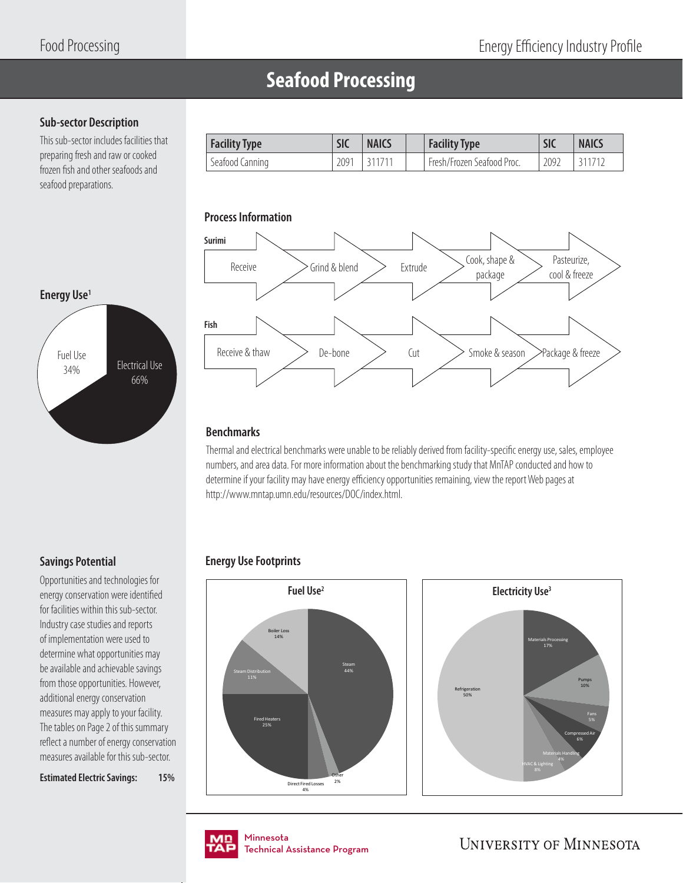Pasteurize,

package

## **Seafood Processing**

### **Sub-sector Description**

This sub-sector includes facilities that preparing fresh and raw or cooked frozen fish and other seafoods and seafood preparations.



**Process Information**

Thermal and electrical benchmarks were unable to be reliably derived from facility-specific energy use, sales, employee numbers, and area data. For more information about the benchmarking study that MnTAP conducted and how to determine if your facility may have energy efficiency opportunities remaining, view the report Web pages at http://www.mntap.umn.edu/resources/DOC/index.html.

Facility Type **SIC** | NAICS | Facility Type | SIC | NAICS Seafood Canning 2091 311711 Fresh/Frozen Seafood Proc. 2092 311712

### **Energy Use Footprints**





nmesota<br>:chnical Assis Technical Assistance Program .<br>Tochnical / Technical Assistance Program

**UNIVERSITY OF MINNESOTA** 

### **Savings Potential**

Opportunities and technologies for energy conservation were identified for facilities within this sub-sector. Industry case studies and reports of implementation were used to determine what opportunities may be available and achievable savings from those opportunities. However, additional energy conservation measures may apply to your facility. The tables on Page 2 of this summary reflect a number of energy conservation measures available for this sub-sector.

**Estimated Electric Savings: 15%**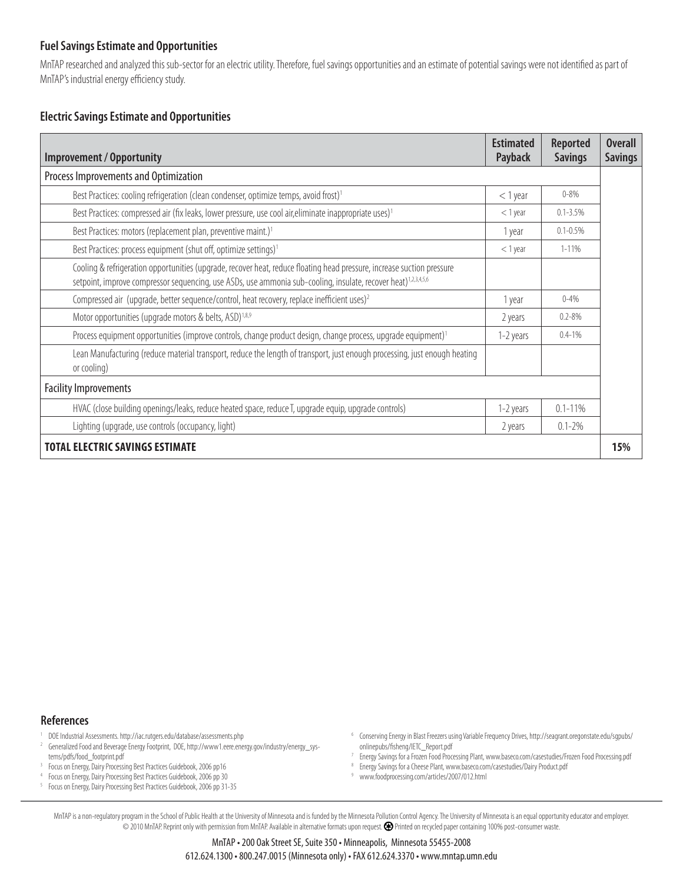MnTAP researched and analyzed this sub-sector for an electric utility. Therefore, fuel savings opportunities and an estimate of potential savings were not identified as part of MnTAP's industrial energy efficiency study.

### **Electric Savings Estimate and Opportunities**

| <b>Improvement / Opportunity</b>                                                                                                                                                                                                                     | <b>Estimated</b><br>Payback | Reported<br><b>Savings</b> | <b>Overall</b><br><b>Savings</b> |
|------------------------------------------------------------------------------------------------------------------------------------------------------------------------------------------------------------------------------------------------------|-----------------------------|----------------------------|----------------------------------|
| Process Improvements and Optimization                                                                                                                                                                                                                |                             |                            |                                  |
| Best Practices: cooling refrigeration (clean condenser, optimize temps, avoid frost) <sup>1</sup>                                                                                                                                                    | $<$ 1 year                  | $0 - 8\%$                  |                                  |
| Best Practices: compressed air (fix leaks, lower pressure, use cool air, eliminate inappropriate uses) <sup>1</sup>                                                                                                                                  | $<$ 1 year                  | $0.1 - 3.5%$               |                                  |
| Best Practices: motors (replacement plan, preventive maint.) <sup>1</sup>                                                                                                                                                                            | 1 year                      | $0.1 - 0.5%$               |                                  |
| Best Practices: process equipment (shut off, optimize settings) <sup>1</sup>                                                                                                                                                                         | $<$ 1 year                  | $1 - 11\%$                 |                                  |
| Cooling & refrigeration opportunities (upgrade, recover heat, reduce floating head pressure, increase suction pressure<br>setpoint, improve compressor sequencing, use ASDs, use ammonia sub-cooling, insulate, recover heat) <sup>1,2,3,4,5,6</sup> |                             |                            |                                  |
| Compressed air (upgrade, better sequence/control, heat recovery, replace inefficient uses) <sup>2</sup>                                                                                                                                              | 1 year                      | $0 - 4%$                   |                                  |
| Motor opportunities (upgrade motors & belts, ASD) <sup>1,8,9</sup>                                                                                                                                                                                   | 2 years                     | $0.2 - 8\%$                |                                  |
| Process equipment opportunities (improve controls, change product design, change process, upgrade equipment) <sup>1</sup>                                                                                                                            | 1-2 years                   | $0.4 - 1\%$                |                                  |
| Lean Manufacturing (reduce material transport, reduce the length of transport, just enough processing, just enough heating<br>or cooling)                                                                                                            |                             |                            |                                  |
| <b>Facility Improvements</b>                                                                                                                                                                                                                         |                             |                            |                                  |
| HVAC (close building openings/leaks, reduce heated space, reduce T, upgrade equip, upgrade controls)                                                                                                                                                 | 1-2 years                   | $0.1 - 11\%$               |                                  |
| Lighting (upgrade, use controls (occupancy, light)                                                                                                                                                                                                   | 2 years                     | $0.1 - 2\%$                |                                  |
| <b>TOTAL ELECTRIC SAVINGS ESTIMATE</b>                                                                                                                                                                                                               |                             |                            | 15%                              |

**References**

- 1 DOE Industrial Assessments. http://iac.rutgers.edu/database/assessments.php
- 2 Generalized Food and Beverage Energy Footprint, DOE, http://www1.eere.energy.gov/industry/energy\_systems/pdfs/food\_footprint.pdf
- <sup>3</sup> Focus on Energy, Dairy Processing Best Practices Guidebook, 2006 pp16
- 4 Focus on Energy, Dairy Processing Best Practices Guidebook, 2006 pp 30
- <sup>5</sup> Focus on Energy, Dairy Processing Best Practices Guidebook, 2006 pp 31-35
- 6 Conserving Energy in Blast Freezers using Variable Frequency Drives, http://seagrant.oregonstate.edu/sgpubs/ onlinepubs/fisheng/IETC\_Report.pdf
- 7 Energy Savings for a Frozen Food Processing Plant, www.baseco.com/casestudies/Frozen Food Processing.pdf
- <sup>8</sup> Energy Savings for a Cheese Plant, www.baseco.com/casestudies/Dairy Product.pdf
- 9 www.foodprocessing.com/articles/2007/012.html

MnTAP is a non-regulatory program in the School of Public Health at the University of Minnesota and is funded by the Minnesota Pollution Control Agency. The University of Minnesota is an equal opportunity educator and empl © 2010 MnTAP. Reprint only with permission from MnTAP. Available in alternative formats upon request. Printed on recycled paper containing 100% post-consumer waste.

> MnTAP • 200 Oak Street SE, Suite 350 • Minneapolis, Minnesota 55455-2008 612.624.1300 • 800.247.0015 (Minnesota only) • FAX 612.624.3370 • www.mntap.umn.edu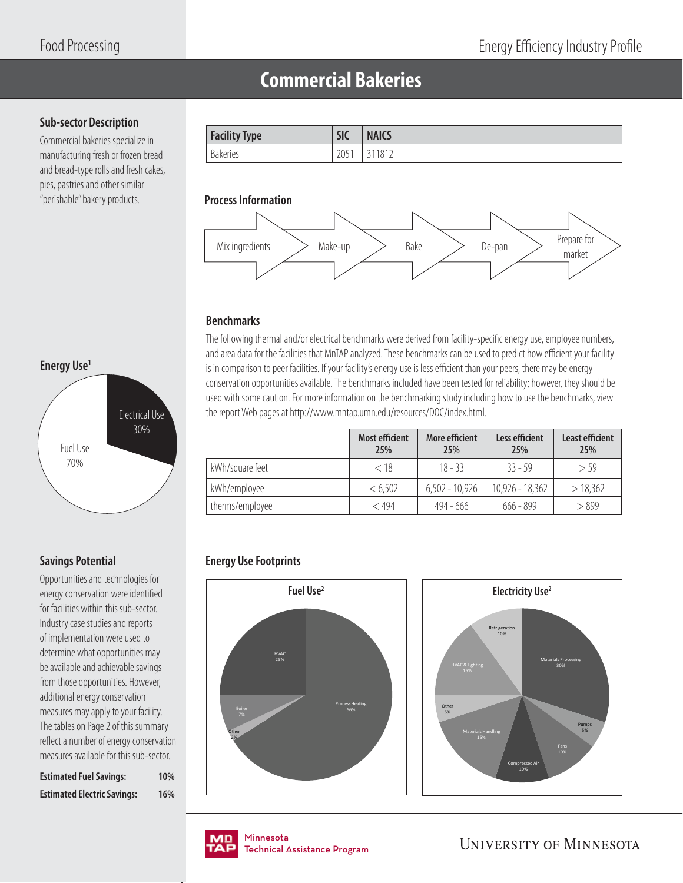### **Commercial Bakeries**

### **Sub-sector Description**

Commercial bakeries specialize in manufacturing fresh or frozen bread and bread-type rolls and fresh cakes, pies, pastries and other similar "perishable" bakery products. **Process Information**





### **Benchmarks**

The following thermal and/or electrical benchmarks were derived from facility-specific energy use, employee numbers, and area data for the facilities that MnTAP analyzed. These benchmarks can be used to predict how efficient your facility is in comparison to peer facilities. If your facility's energy use is less efficient than your peers, there may be energy conservation opportunities available. The benchmarks included have been tested for reliability; however, they should be used with some caution. For more information on the benchmarking study including how to use the benchmarks, view the report Web pages at http://www.mntap.umn.edu/resources/DOC/index.html.

|                 | <b>Most efficient</b><br>25% | More efficient<br>25% | Less efficient<br>25% | <b>Least efficient</b><br>25% |
|-----------------|------------------------------|-----------------------|-----------------------|-------------------------------|
| kWh/square feet | < 18                         | $18 - 33$             | $33 - 59$             | > 59                          |
| kWh/employee    | < 6,502                      | $6,502 - 10,926$      | $10,926 - 18,362$     | > 18,362                      |
| therms/employee | $<$ 494                      | 494 - 666             | $666 - 899$           | > 899                         |

### **Energy Use Footprints**





# **Energy Use1** Fuel Use 70% Electrical Use 30%

### **Savings Potential**

Opportunities and technologies for energy conservation were identified for facilities within this sub-sector. Industry case studies and reports of implementation were used to determine what opportunities may be available and achievable savings from those opportunities. However, additional energy conservation measures may apply to your facility. The tables on Page 2 of this summary reflect a number of energy conservation measures available for this sub-sector.

| <b>Estimated Fuel Savings:</b>     | 10% |
|------------------------------------|-----|
| <b>Estimated Electric Savings:</b> | 16% |

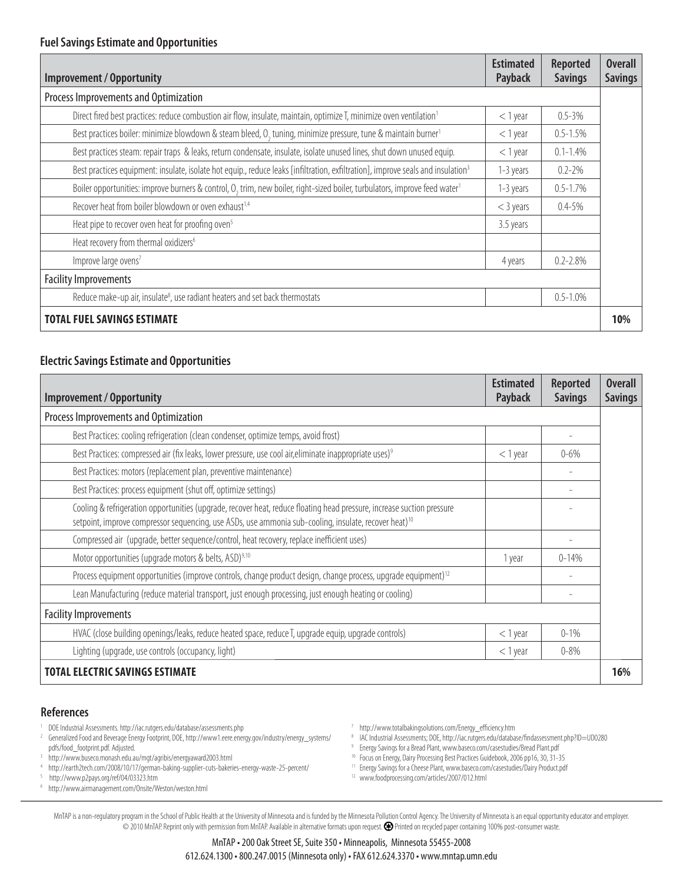| <b>Improvement / Opportunity</b>                                                                                                                   | <b>Estimated</b><br>Payback | <b>Reported</b><br><b>Savings</b> | <b>Overall</b><br><b>Savings</b> |
|----------------------------------------------------------------------------------------------------------------------------------------------------|-----------------------------|-----------------------------------|----------------------------------|
| Process Improvements and Optimization                                                                                                              |                             |                                   |                                  |
| Direct fired best practices: reduce combustion air flow, insulate, maintain, optimize T, minimize oven ventilation <sup>1</sup>                    | $<$ 1 year                  | $0.5 - 3\%$                       |                                  |
| Best practices boiler: minimize blowdown & steam bleed, O <sub>2</sub> tuning, minimize pressure, tune & maintain burner <sup>1</sup>              | $<$ 1 year                  | $0.5 - 1.5%$                      |                                  |
| Best practices steam: repair traps & leaks, return condensate, insulate, isolate unused lines, shut down unused equip.                             | $<$ 1 year                  | $0.1 - 1.4%$                      |                                  |
| Best practices equipment: insulate, isolate hot equip., reduce leaks [infiltration, exfiltration], improve seals and insulation <sup>3</sup>       | 1-3 years                   | $0.2 - 2\%$                       |                                  |
| Boiler opportunities: improve burners & control, O <sub>2</sub> trim, new boiler, right-sized boiler, turbulators, improve feed water <sup>1</sup> | 1-3 years                   | $0.5 - 1.7%$                      |                                  |
| Recover heat from boiler blowdown or oven exhaust <sup>1,4</sup>                                                                                   | $<$ 3 years                 | $0.4 - 5\%$                       |                                  |
| Heat pipe to recover oven heat for proofing oven <sup>5</sup>                                                                                      | 3.5 years                   |                                   |                                  |
| Heat recovery from thermal oxidizers <sup>6</sup>                                                                                                  |                             |                                   |                                  |
| Improve large ovens <sup>7</sup>                                                                                                                   | 4 years                     | $0.2 - 2.8\%$                     |                                  |
| <b>Facility Improvements</b>                                                                                                                       |                             |                                   |                                  |
| Reduce make-up air, insulate <sup>8</sup> , use radiant heaters and set back thermostats                                                           |                             | $0.5 - 1.0\%$                     |                                  |
| <b>TOTAL FUEL SAVINGS ESTIMATE</b>                                                                                                                 |                             |                                   | 10%                              |

### **Electric Savings Estimate and Opportunities**

| <b>Improvement / Opportunity</b>                                                                                                                                                                                                            | <b>Estimated</b><br>Payback | <b>Reported</b><br><b>Savings</b> | <b>Overall</b><br><b>Savings</b> |
|---------------------------------------------------------------------------------------------------------------------------------------------------------------------------------------------------------------------------------------------|-----------------------------|-----------------------------------|----------------------------------|
| Process Improvements and Optimization                                                                                                                                                                                                       |                             |                                   |                                  |
| Best Practices: cooling refrigeration (clean condenser, optimize temps, avoid frost)                                                                                                                                                        |                             |                                   |                                  |
| Best Practices: compressed air (fix leaks, lower pressure, use cool air, eliminate inappropriate uses) <sup>9</sup>                                                                                                                         | $<$ 1 year                  | $0 - 6\%$                         |                                  |
| Best Practices: motors (replacement plan, preventive maintenance)                                                                                                                                                                           |                             |                                   |                                  |
| Best Practices: process equipment (shut off, optimize settings)                                                                                                                                                                             |                             |                                   |                                  |
| Cooling & refrigeration opportunities (upgrade, recover heat, reduce floating head pressure, increase suction pressure<br>setpoint, improve compressor sequencing, use ASDs, use ammonia sub-cooling, insulate, recover heat) <sup>10</sup> |                             |                                   |                                  |
| Compressed air (upgrade, better sequence/control, heat recovery, replace inefficient uses)                                                                                                                                                  |                             |                                   |                                  |
| Motor opportunities (upgrade motors & belts, ASD) <sup>9,10</sup>                                                                                                                                                                           | 1 year                      | $0 - 14%$                         |                                  |
| Process equipment opportunities (improve controls, change product design, change process, upgrade equipment) <sup>12</sup>                                                                                                                  |                             |                                   |                                  |
| Lean Manufacturing (reduce material transport, just enough processing, just enough heating or cooling)                                                                                                                                      |                             |                                   |                                  |
| <b>Facility Improvements</b>                                                                                                                                                                                                                |                             |                                   |                                  |
| HVAC (close building openings/leaks, reduce heated space, reduce T, upgrade equip, upgrade controls)                                                                                                                                        | $<$ 1 year                  | $0 - 1\%$                         |                                  |
| Lighting (upgrade, use controls (occupancy, light)                                                                                                                                                                                          | $<$ 1 year                  | $0 - 8\%$                         |                                  |
| <b>TOTAL ELECTRIC SAVINGS ESTIMATE</b>                                                                                                                                                                                                      |                             |                                   | 16%                              |

#### **References**

- 1 DOE Industrial Assessments. http://iac.rutgers.edu/database/assessments.php
- <sup>2</sup> Generalized Food and Beverage Energy Footprint, DOE, http://www1.eere.energy.gov/industry/energy\_systems/ pdfs/food\_footprint.pdf. Adjusted.
- 3 http://www.buseco.monash.edu.au/mgt/agribis/energyaward2003.html
- 4 http://earth2tech.com/2008/10/17/german-baking-supplier-cuts-bakeries-energy-waste-25-percent/
- 5 http://www.p2pays.org/ref/04/03323.htm
- 6 http://www.airmanagement.com/Onsite/Weston/weston.html
- <sup>7</sup> http://www.totalbakingsolutions.com/Energy\_efficiency.htm
- <sup>8</sup> IAC Industrial Assessments; DOE, http://iac.rutgers.edu/database/findassessment.php?ID=UD0280
- 9 Energy Savings for a Bread Plant, www.baseco.com/casestudies/Bread Plant.pdf
- 10 Focus on Energy, Dairy Processing Best Practices Guidebook, 2006 pp16, 30, 31-35
- <sup>11</sup> Energy Savings for a Cheese Plant, www.baseco.com/casestudies/Dairy Product.pdf
- 12 www.foodprocessing.com/articles/2007/012.html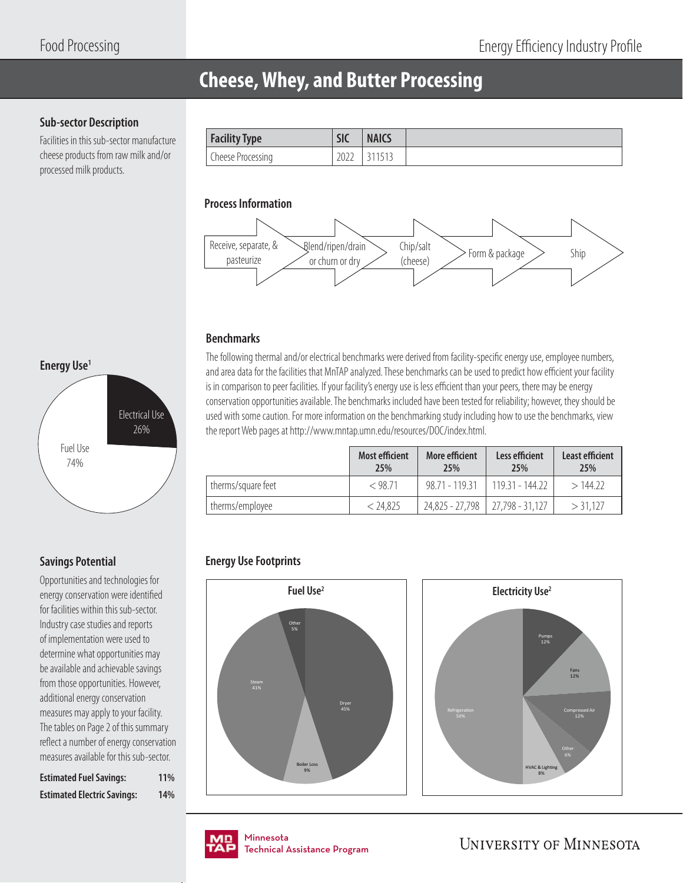## **Cheese, Whey, and Butter Processing**

### **Sub-sector Description**

Facilities in this sub-sector manufacture cheese products from raw milk and/or processed milk products.

| <b>Facility Type</b> | C1<br>ж | <b>NAICS</b> |
|----------------------|---------|--------------|
| Cheese Processing    | 2022    | 1 J I J      |

### **Process Information**



### **Benchmarks**

The following thermal and/or electrical benchmarks were derived from facility-specific energy use, employee numbers, and area data for the facilities that MnTAP analyzed. These benchmarks can be used to predict how efficient your facility is in comparison to peer facilities. If your facility's energy use is less efficient than your peers, there may be energy conservation opportunities available. The benchmarks included have been tested for reliability; however, they should be used with some caution. For more information on the benchmarking study including how to use the benchmarks, view the report Web pages at http://www.mntap.umn.edu/resources/DOC/index.html.

|                    | <b>Most efficient</b><br>25% | More efficient<br>25%               | Less efficient<br><b>25%</b> | Least efficient<br>25% |
|--------------------|------------------------------|-------------------------------------|------------------------------|------------------------|
| therms/square feet | $<$ 98.71                    | $98.71 - 119.31$                    | $119.31 - 144.22$            | >144.22                |
| therms/employee    | < 24.825                     | $24,825 - 27,798$   27,798 - 31,127 |                              | $>$ 31.127             |

### **Energy Use Footprints**





### **Savings Potential**

Opportunities and technologies for energy conservation were identified for facilities within this sub-sector. Industry case studies and reports of implementation were used to determine what opportunities may be available and achievable savings from those opportunities. However, additional energy conservation measures may apply to your facility. The tables on Page 2 of this summary reflect a number of energy conservation measures available for this sub-sector.

| <b>Estimated Fuel Savings:</b>     | <b>11%</b> |
|------------------------------------|------------|
| <b>Estimated Electric Savings:</b> | 14%        |

nmesota<br>:chnical Assis Technical Assistance Program .<br>Tochnical / Technical Assistance Program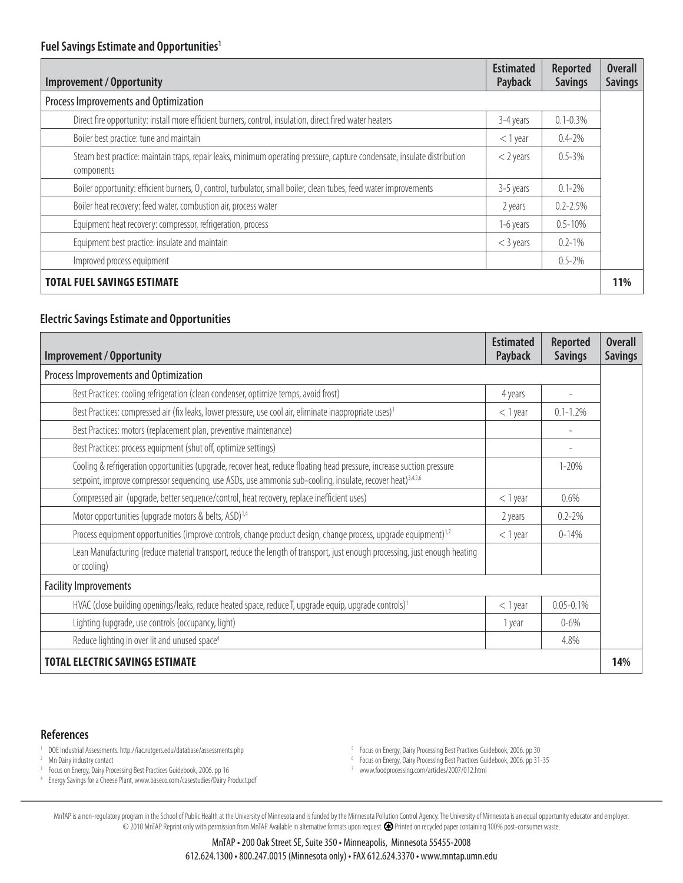| <b>Improvement / Opportunity</b>                                                                                                       | <b>Estimated</b><br>Payback | <b>Reported</b><br><b>Savings</b> | <b>Overall</b><br><b>Savings</b> |  |  |  |  |
|----------------------------------------------------------------------------------------------------------------------------------------|-----------------------------|-----------------------------------|----------------------------------|--|--|--|--|
| Process Improvements and Optimization                                                                                                  |                             |                                   |                                  |  |  |  |  |
| Direct fire opportunity: install more efficient burners, control, insulation, direct fired water heaters                               | 3-4 years                   | $0.1 - 0.3\%$                     |                                  |  |  |  |  |
| Boiler best practice: tune and maintain                                                                                                | $<$ 1 year                  | $0.4 - 2\%$                       |                                  |  |  |  |  |
| Steam best practice: maintain traps, repair leaks, minimum operating pressure, capture condensate, insulate distribution<br>components | $<$ 2 years                 | $0.5 - 3\%$                       |                                  |  |  |  |  |
| Boiler opportunity: efficient burners, O <sub>2</sub> control, turbulator, small boiler, clean tubes, feed water improvements          | 3-5 years                   | $0.1 - 2\%$                       |                                  |  |  |  |  |
| Boiler heat recovery: feed water, combustion air, process water                                                                        | 2 years                     | $0.2 - 2.5%$                      |                                  |  |  |  |  |
| Equipment heat recovery: compressor, refrigeration, process                                                                            | 1-6 years                   | $0.5 - 10%$                       |                                  |  |  |  |  |
| Equipment best practice: insulate and maintain                                                                                         | $<$ 3 years                 | $0.2 - 1\%$                       |                                  |  |  |  |  |
| Improved process equipment                                                                                                             |                             | $0.5 - 2%$                        |                                  |  |  |  |  |
| <b>TOTAL FUEL SAVINGS ESTIMATE</b>                                                                                                     |                             |                                   | 11%                              |  |  |  |  |

### **Electric Savings Estimate and Opportunities**

| <b>Improvement / Opportunity</b>                                                                                                                                                                                                                 | <b>Estimated</b><br>Payback | <b>Reported</b><br><b>Savings</b> | <b>Overall</b><br><b>Savings</b> |  |
|--------------------------------------------------------------------------------------------------------------------------------------------------------------------------------------------------------------------------------------------------|-----------------------------|-----------------------------------|----------------------------------|--|
| Process Improvements and Optimization                                                                                                                                                                                                            |                             |                                   |                                  |  |
| Best Practices: cooling refrigeration (clean condenser, optimize temps, avoid frost)                                                                                                                                                             | 4 years                     |                                   |                                  |  |
| Best Practices: compressed air (fix leaks, lower pressure, use cool air, eliminate inappropriate uses) <sup>1</sup>                                                                                                                              | $<$ 1 year                  | $0.1 - 1.2%$                      |                                  |  |
| Best Practices: motors (replacement plan, preventive maintenance)                                                                                                                                                                                |                             |                                   |                                  |  |
| Best Practices: process equipment (shut off, optimize settings)                                                                                                                                                                                  |                             |                                   |                                  |  |
| Cooling & refrigeration opportunities (upgrade, recover heat, reduce floating head pressure, increase suction pressure<br>setpoint, improve compressor sequencing, use ASDs, use ammonia sub-cooling, insulate, recover heat) <sup>3,4,5,6</sup> |                             | $1 - 20%$                         |                                  |  |
| Compressed air (upgrade, better sequence/control, heat recovery, replace inefficient uses)                                                                                                                                                       | $<$ 1 year                  | 0.6%                              |                                  |  |
| Motor opportunities (upgrade motors & belts, ASD) <sup>1,4</sup>                                                                                                                                                                                 | 2 years                     | $0.2 - 2\%$                       |                                  |  |
| Process equipment opportunities (improve controls, change product design, change process, upgrade equipment) <sup>1,7</sup>                                                                                                                      | $<$ 1 year                  | $0 - 14\%$                        |                                  |  |
| Lean Manufacturing (reduce material transport, reduce the length of transport, just enough processing, just enough heating<br>or cooling)                                                                                                        |                             |                                   |                                  |  |
| <b>Facility Improvements</b>                                                                                                                                                                                                                     |                             |                                   |                                  |  |
| HVAC (close building openings/leaks, reduce heated space, reduce T, upgrade equip, upgrade controls) <sup>1</sup>                                                                                                                                | $<$ 1 year                  | $0.05 - 0.1%$                     |                                  |  |
| Lighting (upgrade, use controls (occupancy, light)                                                                                                                                                                                               | 1 year                      | $0 - 6\%$                         |                                  |  |
| Reduce lighting in over lit and unused space <sup>4</sup>                                                                                                                                                                                        |                             | 4.8%                              |                                  |  |
| <b>TOTAL ELECTRIC SAVINGS ESTIMATE</b>                                                                                                                                                                                                           |                             |                                   |                                  |  |

#### **References**

1 DOE Industrial Assessments. http://iac.rutgers.edu/database/assessments.php

<sup>2</sup> Mn Dairy industry contact

<sup>3</sup> Focus on Energy, Dairy Processing Best Practices Guidebook, 2006. pp 16

4 Energy Savings for a Cheese Plant, www.baseco.com/casestudies/Dairy Product.pdf

6 Focus on Energy, Dairy Processing Best Practices Guidebook, 2006. pp 31-35

7 www.foodprocessing.com/articles/2007/012.html

<sup>5</sup> Focus on Energy, Dairy Processing Best Practices Guidebook, 2006. pp 30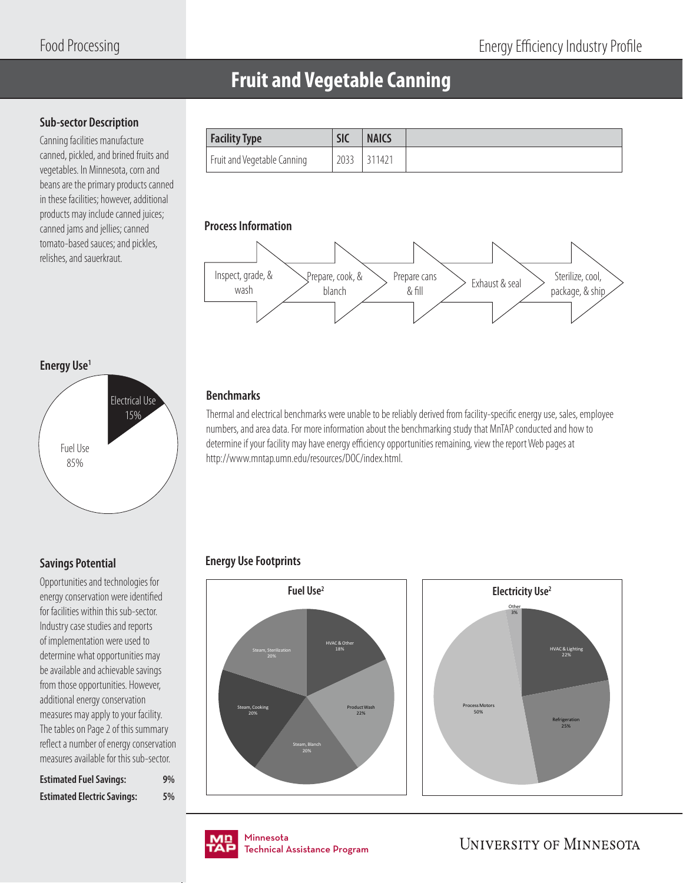### **Fruit and Vegetable Canning**

### **Sub-sector Description**

Canning facilities manufacture canned, pickled, and brined fruits and vegetables. In Minnesota, corn and beans are the primary products canned in these facilities; however, additional products may include canned juices; canned jams and jellies; canned tomato-based sauces; and pickles, relishes, and sauerkraut.

| <b>Facility Type</b>        | <b>NAICS</b><br><b>SIC</b> |
|-----------------------------|----------------------------|
| Fruit and Vegetable Canning | 2033<br>311421             |

### **Process Information**



### **Energy Use1**



### **Benchmarks**

Thermal and electrical benchmarks were unable to be reliably derived from facility-specific energy use, sales, employee numbers, and area data. For more information about the benchmarking study that MnTAP conducted and how to determine if your facility may have energy efficiency opportunities remaining, view the report Web pages at http://www.mntap.umn.edu/resources/DOC/index.html.

### **Energy Use Footprints**

HVAC & Other 18% Product Wash 22% Steam, Blanch Steam, Cooking 20% Steam, Sterilization



### **Savings Potential**

Opportunities and technologies for energy conservation were identified for facilities within this sub-sector. Industry case studies and reports of implementation were used to determine what opportunities may be available and achievable savings from those opportunities. However, additional energy conservation measures may apply to your facility. The tables on Page 2 of this summary reflect a number of energy conservation measures available for this sub-sector.

| <b>Estimated Fuel Savings:</b>     | 9% |
|------------------------------------|----|
| <b>Estimated Electric Savings:</b> | 5% |

Minnesota Minnesota Technical Assistance Program Technical Assistance Program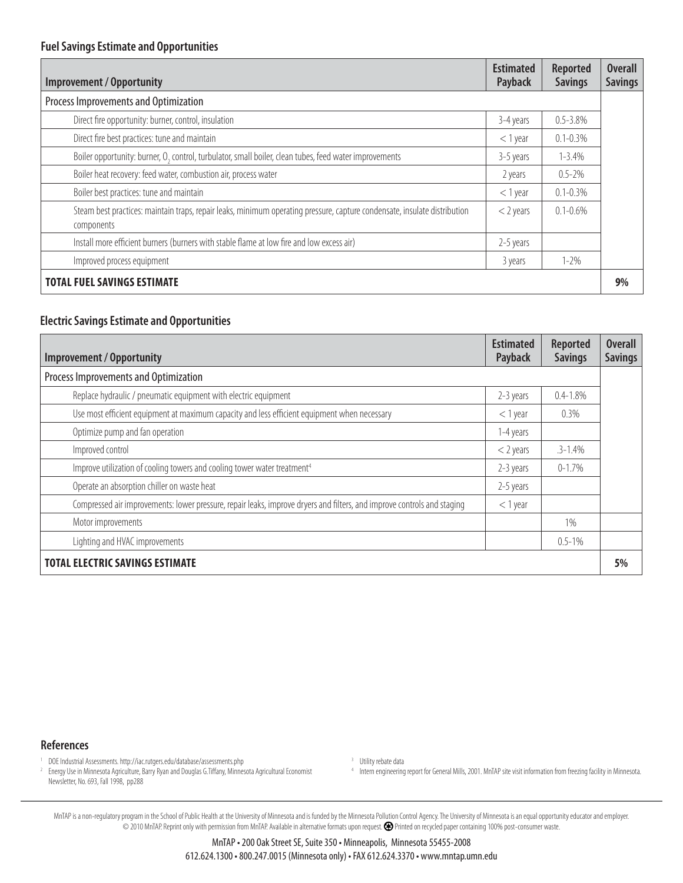| <b>Improvement / Opportunity</b>                                                                                                        | <b>Estimated</b><br>Payback | <b>Reported</b><br><b>Savings</b> | <b>Overall</b><br><b>Savings</b> |
|-----------------------------------------------------------------------------------------------------------------------------------------|-----------------------------|-----------------------------------|----------------------------------|
| Process Improvements and Optimization                                                                                                   |                             |                                   |                                  |
| Direct fire opportunity: burner, control, insulation                                                                                    | 3-4 years                   | $0.5 - 3.8%$                      |                                  |
| Direct fire best practices: tune and maintain                                                                                           | $<$ 1 year                  | $0.1 - 0.3\%$                     |                                  |
| Boiler opportunity: burner, O <sub>2</sub> control, turbulator, small boiler, clean tubes, feed water improvements                      | 3-5 years                   | $1 - 3.4%$                        |                                  |
| Boiler heat recovery: feed water, combustion air, process water                                                                         | 2 years                     | $0.5 - 2\%$                       |                                  |
| Boiler best practices: tune and maintain                                                                                                | $<$ 1 year                  | $0.1 - 0.3%$                      |                                  |
| Steam best practices: maintain traps, repair leaks, minimum operating pressure, capture condensate, insulate distribution<br>components | $<$ 2 years                 | $0.1 - 0.6\%$                     |                                  |
| Install more efficient burners (burners with stable flame at low fire and low excess air)                                               | 2-5 years                   |                                   |                                  |
| Improved process equipment                                                                                                              | 3 years                     | $1 - 2\%$                         |                                  |
| <b>TOTAL FUEL SAVINGS ESTIMATE</b>                                                                                                      |                             |                                   | 9%                               |

### **Electric Savings Estimate and Opportunities**

| <b>Improvement / Opportunity</b>                                                                                        | <b>Estimated</b><br>Payback | <b>Reported</b><br><b>Savings</b> | <b>Overall</b><br><b>Savings</b> |  |  |  |  |
|-------------------------------------------------------------------------------------------------------------------------|-----------------------------|-----------------------------------|----------------------------------|--|--|--|--|
| Process Improvements and Optimization                                                                                   |                             |                                   |                                  |  |  |  |  |
| Replace hydraulic / pneumatic equipment with electric equipment                                                         | 2-3 years                   | $0.4 - 1.8%$                      |                                  |  |  |  |  |
| Use most efficient equipment at maximum capacity and less efficient equipment when necessary                            | $<$ 1 year                  | 0.3%                              |                                  |  |  |  |  |
| Optimize pump and fan operation                                                                                         | 1-4 years                   |                                   |                                  |  |  |  |  |
| Improved control                                                                                                        | $<$ 2 years                 | $.3 - 1.4%$                       |                                  |  |  |  |  |
| Improve utilization of cooling towers and cooling tower water treatment <sup>4</sup>                                    | 2-3 years                   | $0 - 1.7\%$                       |                                  |  |  |  |  |
| Operate an absorption chiller on waste heat                                                                             | 2-5 years                   |                                   |                                  |  |  |  |  |
| Compressed air improvements: lower pressure, repair leaks, improve dryers and filters, and improve controls and staging | $<$ 1 year                  |                                   |                                  |  |  |  |  |
| Motor improvements                                                                                                      |                             | 1%                                |                                  |  |  |  |  |
| Lighting and HVAC improvements                                                                                          |                             | $0.5 - 1\%$                       |                                  |  |  |  |  |
| <b>TOTAL ELECTRIC SAVINGS ESTIMATE</b>                                                                                  |                             |                                   | 5%                               |  |  |  |  |

#### **References**

- 1 DOE Industrial Assessments. http://iac.rutgers.edu/database/assessments.php
- <sup>2</sup> Energy Use in Minnesota Agriculture, Barry Ryan and Douglas G.Tiffany, Minnesota Agricultural Economist Newsletter, No. 693, Fall 1998, pp288

<sup>3</sup> Utility rebate data

4 Intern engineering report for General Mills, 2001. MnTAP site visit information from freezing facility in Minnesota.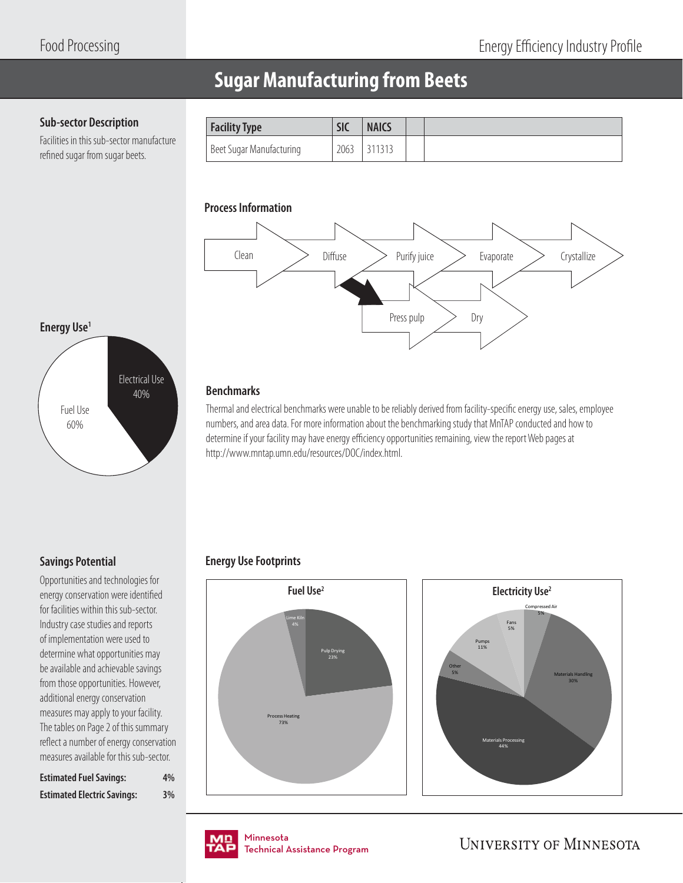### **Sugar Manufacturing from Beets**

### **Sub-sector Description**

Facilities in this sub-sector manufacture refined sugar from sugar beets.

| <b>Facility Type</b>     | <b>SIC</b> | <b>NAICS</b> |  |
|--------------------------|------------|--------------|--|
| Beet Sugar Manufacturing | 2063       | 311313       |  |

### **Process Information**



### **Energy Use<sup>1</sup>**



### **Benchmarks**

Thermal and electrical benchmarks were unable to be reliably derived from facility-specific energy use, sales, employee numbers, and area data. For more information about the benchmarking study that MnTAP conducted and how to determine if your facility may have energy efficiency opportunities remaining, view the report Web pages at http://www.mntap.umn.edu/resources/DOC/index.html.

### **Savings Potential**

Opportunities and technologies for energy conservation were identified for facilities within this sub-sector. Industry case studies and reports of implementation were used to determine what opportunities may be available and achievable savings from those opportunities. However, additional energy conservation measures may apply to your facility. The tables on Page 2 of this summary reflect a number of energy conservation measures available for this sub-sector.

| <b>Estimated Fuel Savings:</b>     | 4% |
|------------------------------------|----|
| <b>Estimated Electric Savings:</b> | 3% |

### **Energy Use Footprints**







Minnesota Minnesota Technical Assistance Program Technical Assistance Program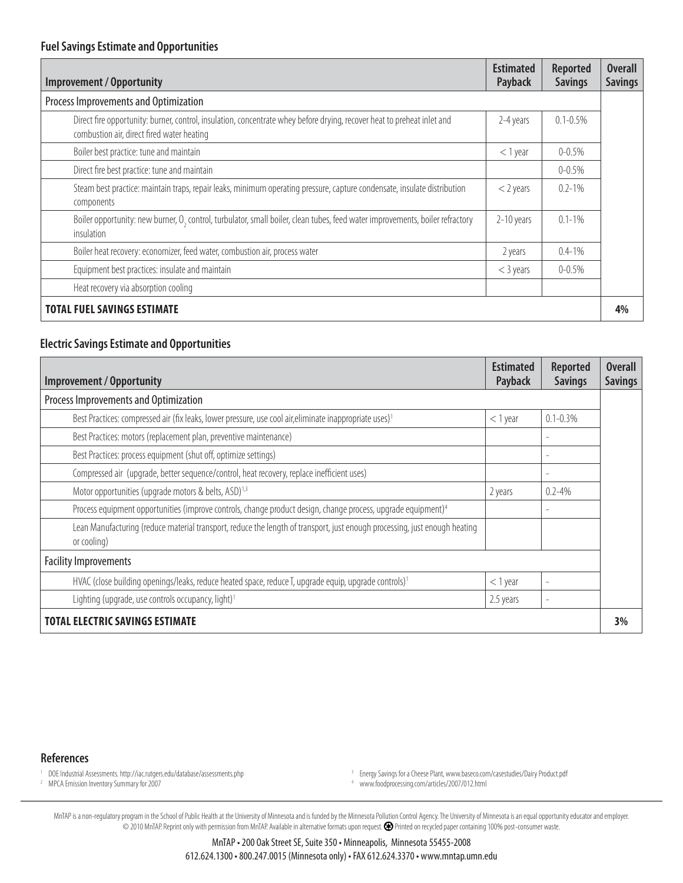| <b>Improvement / Opportunity</b>                                                                                                                                      | <b>Estimated</b><br>Payback | <b>Reported</b><br><b>Savings</b> | <b>Overall</b><br><b>Savings</b> |
|-----------------------------------------------------------------------------------------------------------------------------------------------------------------------|-----------------------------|-----------------------------------|----------------------------------|
| Process Improvements and Optimization                                                                                                                                 |                             |                                   |                                  |
| Direct fire opportunity: burner, control, insulation, concentrate whey before drying, recover heat to preheat inlet and<br>combustion air, direct fired water heating | 2-4 years                   | $0.1 - 0.5%$                      |                                  |
| Boiler best practice: tune and maintain                                                                                                                               | $<$ 1 year                  | $0 - 0.5%$                        |                                  |
| Direct fire best practice: tune and maintain                                                                                                                          |                             | $0 - 0.5\%$                       |                                  |
| Steam best practice: maintain traps, repair leaks, minimum operating pressure, capture condensate, insulate distribution<br>components                                | $<$ 2 years                 | $0.2 - 1\%$                       |                                  |
| Boiler opportunity: new burner, O <sub>2</sub> control, turbulator, small boiler, clean tubes, feed water improvements, boiler refractory<br>insulation               | 2-10 years                  | $0.1 - 1\%$                       |                                  |
| Boiler heat recovery: economizer, feed water, combustion air, process water                                                                                           | 2 years                     | $0.4 - 1\%$                       |                                  |
| Equipment best practices: insulate and maintain                                                                                                                       | $<$ 3 years                 | $0 - 0.5%$                        |                                  |
| Heat recovery via absorption cooling                                                                                                                                  |                             |                                   |                                  |
| <b>TOTAL FUEL SAVINGS ESTIMATE</b>                                                                                                                                    |                             |                                   | 4%                               |

### **Electric Savings Estimate and Opportunities**

| <b>Improvement / Opportunity</b>                                                                                                          | <b>Estimated</b><br>Payback | <b>Reported</b><br><b>Savings</b> | <b>Overall</b><br><b>Savings</b> |  |  |  |  |
|-------------------------------------------------------------------------------------------------------------------------------------------|-----------------------------|-----------------------------------|----------------------------------|--|--|--|--|
| Process Improvements and Optimization                                                                                                     |                             |                                   |                                  |  |  |  |  |
| Best Practices: compressed air (fix leaks, lower pressure, use cool air, eliminate inappropriate uses) <sup>1</sup>                       | $<$ 1 year                  | $0.1 - 0.3\%$                     |                                  |  |  |  |  |
| Best Practices: motors (replacement plan, preventive maintenance)                                                                         |                             |                                   |                                  |  |  |  |  |
| Best Practices: process equipment (shut off, optimize settings)                                                                           |                             |                                   |                                  |  |  |  |  |
| Compressed air (upgrade, better sequence/control, heat recovery, replace inefficient uses)                                                |                             |                                   |                                  |  |  |  |  |
| Motor opportunities (upgrade motors & belts, ASD) <sup>1,3</sup>                                                                          | 2 years                     | $0.2 - 4%$                        |                                  |  |  |  |  |
| Process equipment opportunities (improve controls, change product design, change process, upgrade equipment) <sup>4</sup>                 |                             |                                   |                                  |  |  |  |  |
| Lean Manufacturing (reduce material transport, reduce the length of transport, just enough processing, just enough heating<br>or cooling) |                             |                                   |                                  |  |  |  |  |
| <b>Facility Improvements</b>                                                                                                              |                             |                                   |                                  |  |  |  |  |
| HVAC (close building openings/leaks, reduce heated space, reduce T, upgrade equip, upgrade controls) <sup>1</sup>                         | $<$ 1 year                  |                                   |                                  |  |  |  |  |
| Lighting (upgrade, use controls occupancy, light) <sup>1</sup>                                                                            | 2.5 years                   |                                   |                                  |  |  |  |  |
| <b>TOTAL ELECTRIC SAVINGS ESTIMATE</b>                                                                                                    |                             |                                   | 3%                               |  |  |  |  |

#### **References**

1 DOE Industrial Assessments. http://iac.rutgers.edu/database/assessments.php

2 MPCA Emission Inventory Summary for 2007

<sup>3</sup> Energy Savings for a Cheese Plant, www.baseco.com/casestudies/Dairy Product.pdf

4 www.foodprocessing.com/articles/2007/012.html

MnTAP is a non-requlatory program in the School of Public Health at the University of Minnesota and is funded by the Minnesota Pollution Control Agency. The University of Minnesota is an equal opportunity educator and empl © 2010 MnTAP. Reprint only with permission from MnTAP. Available in alternative formats upon request. Printed on recycled paper containing 100% post-consumer waste.

> MnTAP • 200 Oak Street SE, Suite 350 • Minneapolis, Minnesota 55455-2008 612.624.1300 • 800.247.0015 (Minnesota only) • FAX 612.624.3370 • www.mntap.umn.edu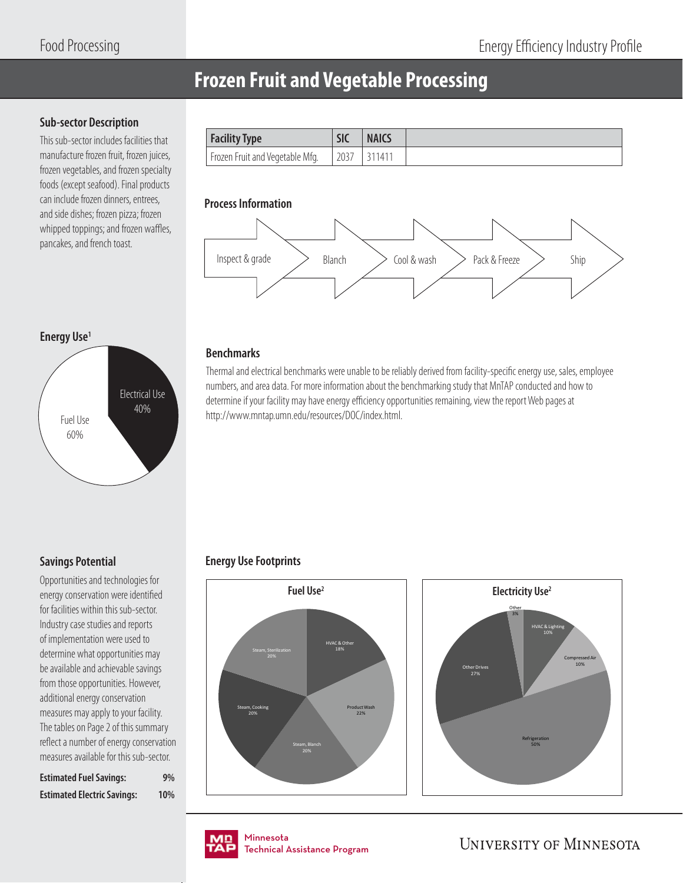### **Frozen Fruit and Vegetable Processing**

### **Sub-sector Description**

This sub-sector includes facilities that manufacture frozen fruit, frozen juices, frozen vegetables, and frozen specialty foods (except seafood). Final products can include frozen dinners, entrees, and side dishes; frozen pizza; frozen whipped toppings; and frozen waffles, pancakes, and french toast.

| <b>Facility Type</b>                         | <b>SIC</b> | <b>NAICS</b> |
|----------------------------------------------|------------|--------------|
| <sup>1</sup> Frozen Fruit and Vegetable Mfg. | 2037       | . 1411       |

### **Process Information**



### **Energy Use1**



### **Benchmarks**

Thermal and electrical benchmarks were unable to be reliably derived from facility-specific energy use, sales, employee numbers, and area data. For more information about the benchmarking study that MnTAP conducted and how to determine if your facility may have energy efficiency opportunities remaining, view the report Web pages at http://www.mntap.umn.edu/resources/DOC/index.html.

### **Savings Potential**

Opportunities and technologies for energy conservation were identified for facilities within this sub-sector. Industry case studies and reports of implementation were used to determine what opportunities may be available and achievable savings from those opportunities. However, additional energy conservation measures may apply to your facility. The tables on Page 2 of this summary reflect a number of energy conservation measures available for this sub-sector.

| <b>Estimated Fuel Savings:</b>     | 9%  |
|------------------------------------|-----|
| <b>Estimated Electric Savings:</b> | 10% |

### **Energy Use Footprints**